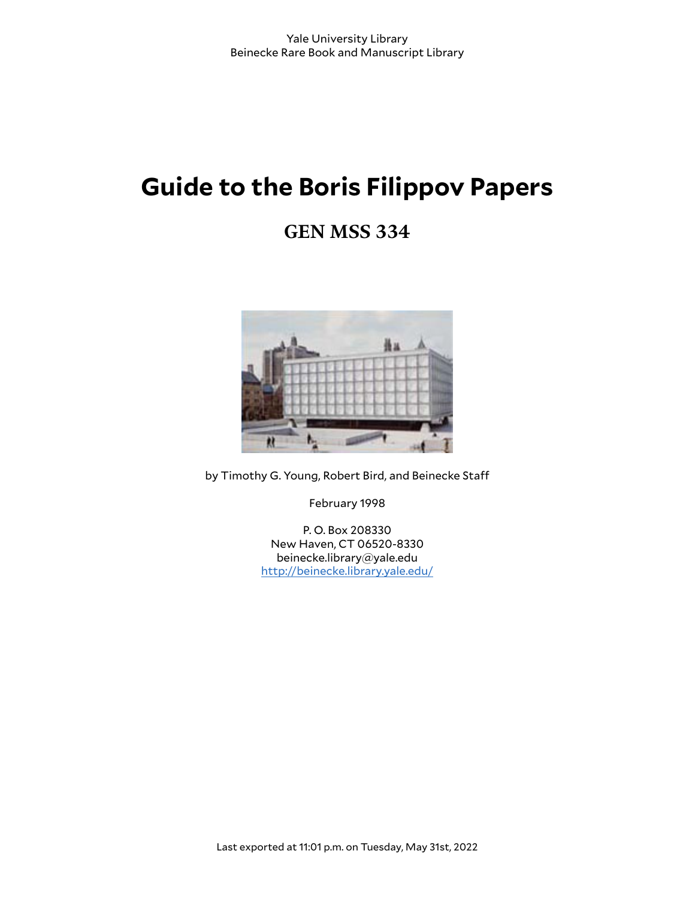# **Guide to the Boris Filippov Papers**

## **GEN MSS 334**



by Timothy G. Young, Robert Bird, and Beinecke Sta

February 1998

P. O. Box 208330 New Haven, CT 06520-8330 beinecke.library@yale.edu <http://beinecke.library.yale.edu/>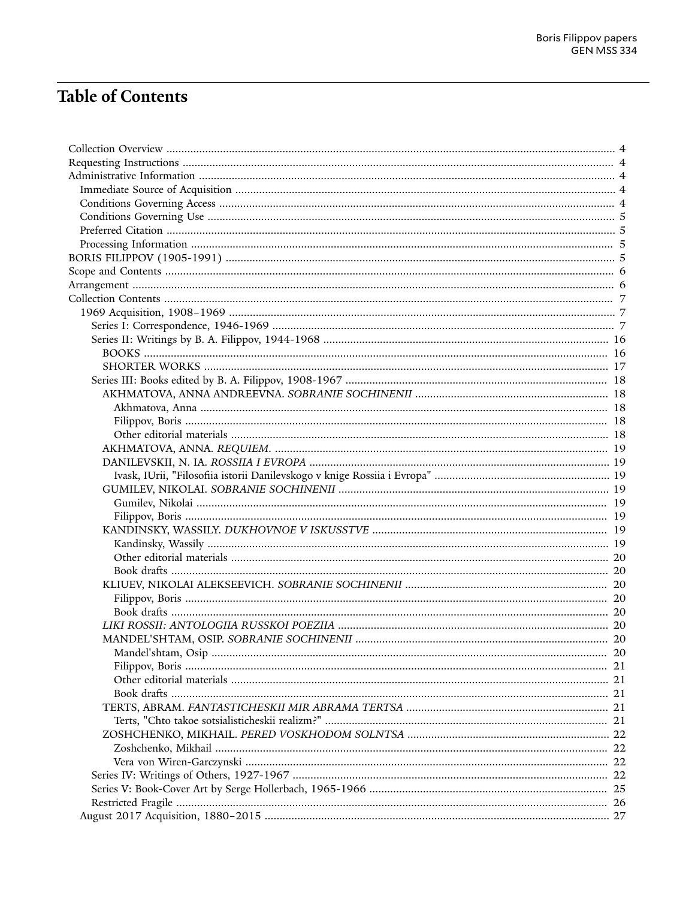## **Table of Contents**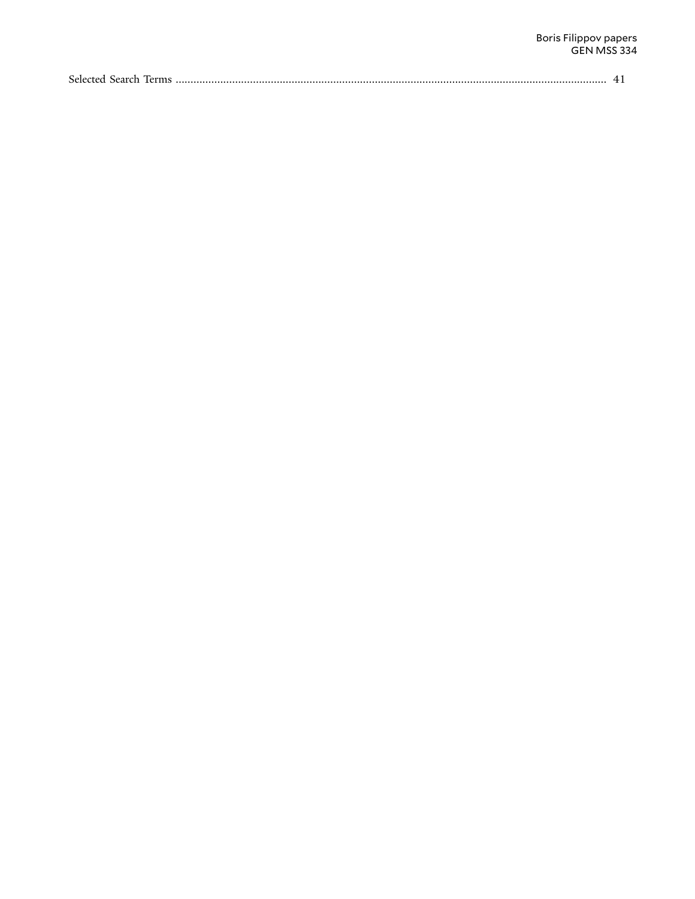| Selected Search Te<br>l'erms |  |
|------------------------------|--|
|------------------------------|--|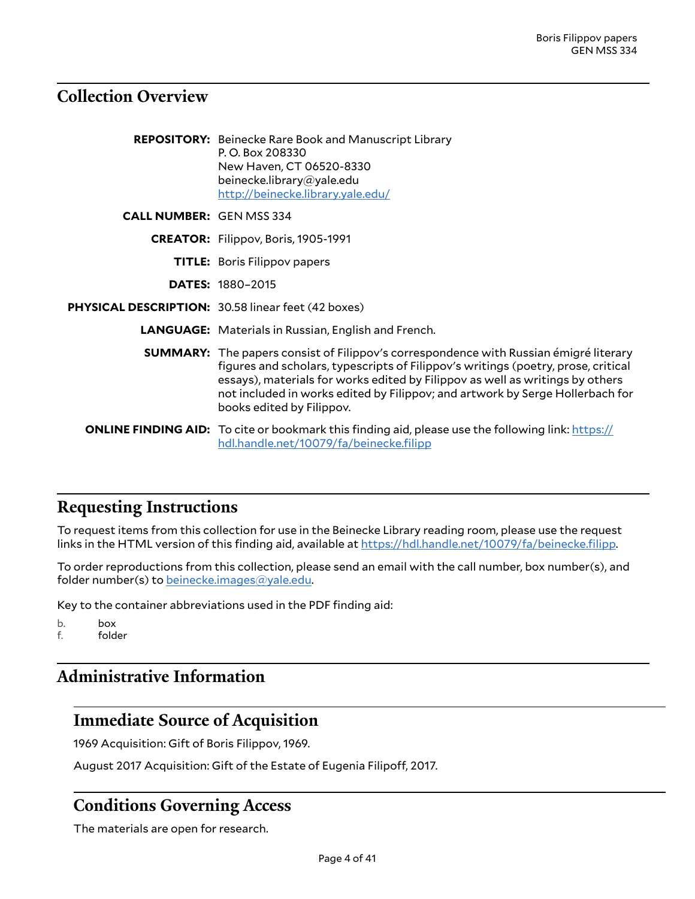## <span id="page-3-0"></span>**Collection Overview**

|                                 | <b>REPOSITORY:</b> Beinecke Rare Book and Manuscript Library<br>P.O. Box 208330<br>New Haven, CT 06520-8330<br>beinecke.library@yale.edu<br>http://beinecke.library.yale.edu/                                                                                                                                                                                                    |
|---------------------------------|----------------------------------------------------------------------------------------------------------------------------------------------------------------------------------------------------------------------------------------------------------------------------------------------------------------------------------------------------------------------------------|
| <b>CALL NUMBER: GEN MSS 334</b> |                                                                                                                                                                                                                                                                                                                                                                                  |
|                                 | <b>CREATOR:</b> Filippov, Boris, 1905-1991                                                                                                                                                                                                                                                                                                                                       |
|                                 | <b>TITLE:</b> Boris Filippov papers                                                                                                                                                                                                                                                                                                                                              |
|                                 | <b>DATES: 1880-2015</b>                                                                                                                                                                                                                                                                                                                                                          |
|                                 | PHYSICAL DESCRIPTION: 30.58 linear feet (42 boxes)                                                                                                                                                                                                                                                                                                                               |
|                                 | <b>LANGUAGE:</b> Materials in Russian, English and French.                                                                                                                                                                                                                                                                                                                       |
|                                 | <b>SUMMARY:</b> The papers consist of Filippov's correspondence with Russian émigré literary<br>figures and scholars, typescripts of Filippov's writings (poetry, prose, critical<br>essays), materials for works edited by Filippov as well as writings by others<br>not included in works edited by Filippov; and artwork by Serge Hollerbach for<br>books edited by Filippov. |
|                                 | <b>ONLINE FINDING AID:</b> To cite or bookmark this finding aid, please use the following link: https://<br>hdl.handle.net/10079/fa/beinecke.filipp                                                                                                                                                                                                                              |

## <span id="page-3-1"></span>**Requesting Instructions**

To request items from this collection for use in the Beinecke Library reading room, please use the request links in the HTML version of this finding aid, available at [https://hdl.handle.net/10079/fa/beinecke.filipp.](https://hdl.handle.net/10079/fa/beinecke.filipp)

To order reproductions from this collection, please send an email with the call number, box number(s), and folder number(s) to [beinecke.images@yale.edu.](mailto:beinecke.images@yale.edu)

Key to the container abbreviations used in the PDF finding aid:

b. box

f. folder

## <span id="page-3-2"></span>**Administrative Information**

## <span id="page-3-3"></span>**Immediate Source of Acquisition**

1969 Acquisition: Gift of Boris Filippov, 1969.

August 2017 Acquisition: Gift of the Estate of Eugenia Filipoff, 2017.

## <span id="page-3-4"></span>**Conditions Governing Access**

The materials are open for research.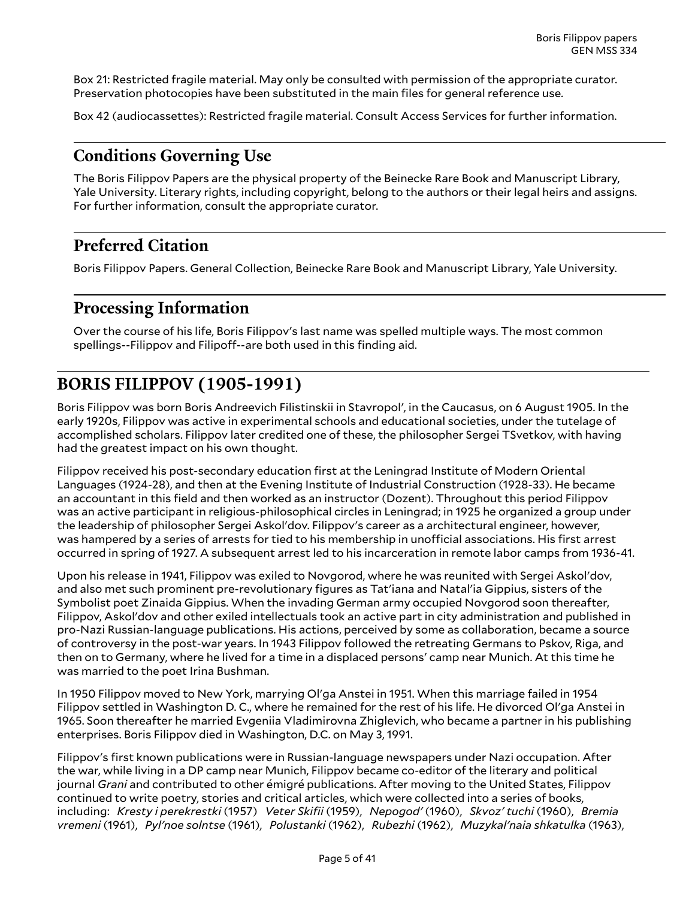Box 21: Restricted fragile material. May only be consulted with permission of the appropriate curator. Preservation photocopies have been substituted in the main files for general reference use.

Box 42 (audiocassettes): Restricted fragile material. Consult Access Services for further information.

### <span id="page-4-0"></span>**Conditions Governing Use**

The Boris Filippov Papers are the physical property of the Beinecke Rare Book and Manuscript Library, Yale University. Literary rights, including copyright, belong to the authors or their legal heirs and assigns. For further information, consult the appropriate curator.

## <span id="page-4-1"></span>**Preferred Citation**

Boris Filippov Papers. General Collection, Beinecke Rare Book and Manuscript Library, Yale University.

### <span id="page-4-2"></span>**Processing Information**

Over the course of his life, Boris Filippov's last name was spelled multiple ways. The most common spellings--Filippov and Filipoff--are both used in this finding aid.

## <span id="page-4-3"></span>**BORIS FILIPPOV (1905-1991)**

Boris Filippov was born Boris Andreevich Filistinskii in Stavropol', in the Caucasus, on 6 August 1905. In the early 1920s, Filippov was active in experimental schools and educational societies, under the tutelage of accomplished scholars. Filippov later credited one of these, the philosopher Sergei TSvetkov, with having had the greatest impact on his own thought.

Filippov received his post-secondary education first at the Leningrad Institute of Modern Oriental Languages (1924-28), and then at the Evening Institute of Industrial Construction (1928-33). He became an accountant in this field and then worked as an instructor (Dozent). Throughout this period Filippov was an active participant in religious-philosophical circles in Leningrad; in 1925 he organized a group under the leadership of philosopher Sergei Askol'dov. Filippov's career as a architectural engineer, however, was hampered by a series of arrests for tied to his membership in unofficial associations. His first arrest occurred in spring of 1927. A subsequent arrest led to his incarceration in remote labor camps from 1936-41.

Upon his release in 1941, Filippov was exiled to Novgorod, where he was reunited with Sergei Askol'dov, and also met such prominent pre-revolutionary figures as Tat'iana and Natal'ia Gippius, sisters of the Symbolist poet Zinaida Gippius. When the invading German army occupied Novgorod soon thereafter, Filippov, Askol'dov and other exiled intellectuals took an active part in city administration and published in pro-Nazi Russian-language publications. His actions, perceived by some as collaboration, became a source of controversy in the post-war years. In 1943 Filippov followed the retreating Germans to Pskov, Riga, and then on to Germany, where he lived for a time in a displaced persons' camp near Munich. At this time he was married to the poet Irina Bushman.

In 1950 Filippov moved to New York, marrying Ol'ga Anstei in 1951. When this marriage failed in 1954 Filippov settled in Washington D. C., where he remained for the rest of his life. He divorced Ol'ga Anstei in 1965. Soon thereafter he married Evgeniia Vladimirovna Zhiglevich, who became a partner in his publishing enterprises. Boris Filippov died in Washington, D.C. on May 3, 1991.

Filippov's first known publications were in Russian-language newspapers under Nazi occupation. After the war, while living in a DP camp near Munich, Filippov became co-editor of the literary and political journal *Grani* and contributed to other émigré publications. After moving to the United States, Filippov continued to write poetry, stories and critical articles, which were collected into a series of books, including: *Kresty i perekrestki* (1957) *Veter Skifii* (1959), *Nepogod'* (1960), *Skvoz' tuchi* (1960), *Bremia vremeni* (1961), *Pyl'noe solntse* (1961), *Polustanki* (1962), *Rubezhi* (1962), *Muzykal'naia shkatulka* (1963),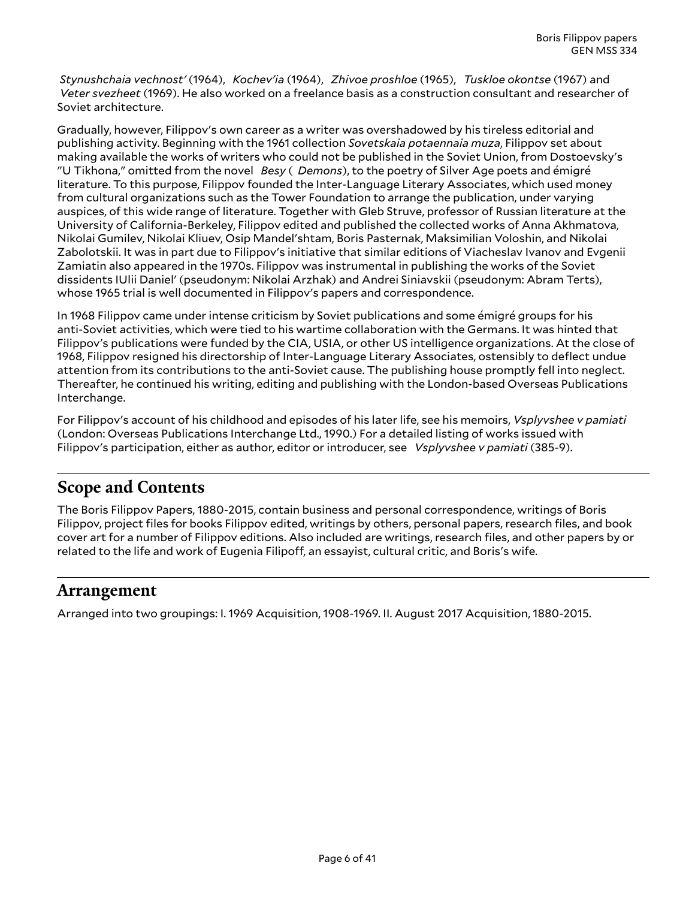*Stynushchaia vechnost'* (1964), *Kochev'ia* (1964), *Zhivoe proshloe* (1965), *Tuskloe okontse* (1967) and *Veter svezheet* (1969). He also worked on a freelance basis as a construction consultant and researcher of Soviet architecture.

Gradually, however, Filippov's own career as a writer was overshadowed by his tireless editorial and publishing activity. Beginning with the 1961 collection *Sovetskaia potaennaia muza*, Filippov set about making available the works of writers who could not be published in the Soviet Union, from Dostoevsky's "U Tikhona," omitted from the novel *Besy* ( *Demons*), to the poetry of Silver Age poets and émigré literature. To this purpose, Filippov founded the Inter-Language Literary Associates, which used money from cultural organizations such as the Tower Foundation to arrange the publication, under varying auspices, of this wide range of literature. Together with Gleb Struve, professor of Russian literature at the University of California-Berkeley, Filippov edited and published the collected works of Anna Akhmatova, Nikolai Gumilev, Nikolai Kliuev, Osip Mandel'shtam, Boris Pasternak, Maksimilian Voloshin, and Nikolai Zabolotskii. It was in part due to Filippov's initiative that similar editions of Viacheslav Ivanov and Evgenii Zamiatin also appeared in the 1970s. Filippov was instrumental in publishing the works of the Soviet dissidents IUlii Daniel' (pseudonym: Nikolai Arzhak) and Andrei Siniavskii (pseudonym: Abram Terts), whose 1965 trial is well documented in Filippov's papers and correspondence.

In 1968 Filippov came under intense criticism by Soviet publications and some émigré groups for his anti-Soviet activities, which were tied to his wartime collaboration with the Germans. It was hinted that Filippov's publications were funded by the CIA, USIA, or other US intelligence organizations. At the close of 1968, Filippov resigned his directorship of Inter-Language Literary Associates, ostensibly to deflect undue attention from its contributions to the anti-Soviet cause. The publishing house promptly fell into neglect. Thereafter, he continued his writing, editing and publishing with the London-based Overseas Publications Interchange.

For Filippov's account of his childhood and episodes of his later life, see his memoirs, *Vsplyvshee v pamiati* (London: Overseas Publications Interchange Ltd., 1990.) For a detailed listing of works issued with Filippov's participation, either as author, editor or introducer, see *Vsplyvshee v pamiati* (385-9).

### <span id="page-5-0"></span>**Scope and Contents**

The Boris Filippov Papers, 1880-2015, contain business and personal correspondence, writings of Boris Filippov, project files for books Filippov edited, writings by others, personal papers, research files, and book cover art for a number of Filippov editions. Also included are writings, research files, and other papers by or related to the life and work of Eugenia Filipoff, an essayist, cultural critic, and Boris's wife.

### <span id="page-5-1"></span>**Arrangement**

Arranged into two groupings: I. 1969 Acquisition, 1908-1969. II. August 2017 Acquisition, 1880-2015.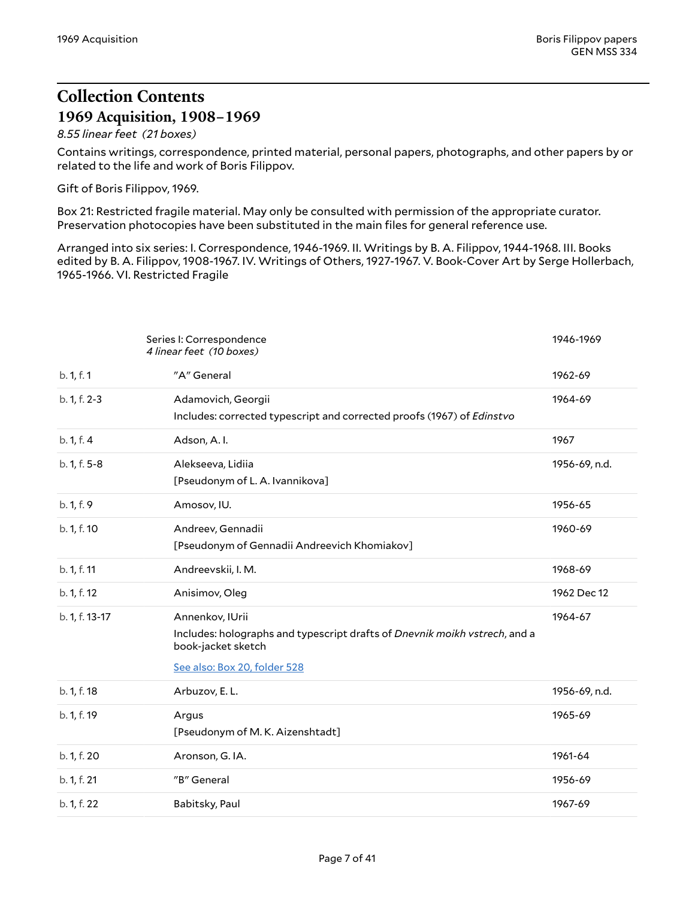## <span id="page-6-0"></span>**Collection Contents 1969 Acquisition, 1908–1969**

#### <span id="page-6-1"></span>*8.55 linear feet (21 boxes)*

Contains writings, correspondence, printed material, personal papers, photographs, and other papers by or related to the life and work of Boris Filippov.

Gift of Boris Filippov, 1969.

Box 21: Restricted fragile material. May only be consulted with permission of the appropriate curator. Preservation photocopies have been substituted in the main files for general reference use.

Arranged into six series: I. Correspondence, 1946-1969. II. Writings by B. A. Filippov, 1944-1968. III. Books edited by B. A. Filippov, 1908-1967. IV. Writings of Others, 1927-1967. V. Book-Cover Art by Serge Hollerbach, 1965-1966. VI. Restricted Fragile

<span id="page-6-3"></span><span id="page-6-2"></span>

|                | Series I: Correspondence<br>4 linear feet (10 boxes)                                                                                                | 1946-1969     |
|----------------|-----------------------------------------------------------------------------------------------------------------------------------------------------|---------------|
| b. 1, f. 1     | "A" General                                                                                                                                         | 1962-69       |
| b. 1, f. 2-3   | Adamovich, Georgii<br>Includes: corrected typescript and corrected proofs (1967) of Edinstvo                                                        | 1964-69       |
| b. 1, f. 4     | Adson, A.I.                                                                                                                                         | 1967          |
| b. 1, f. 5-8   | Alekseeva, Lidiia<br>[Pseudonym of L. A. Ivannikova]                                                                                                | 1956-69, n.d. |
| b. 1, f. 9     | Amosov, IU.                                                                                                                                         | 1956-65       |
| b. 1, f. 10    | Andreev, Gennadii<br>[Pseudonym of Gennadii Andreevich Khomiakov]                                                                                   | 1960-69       |
| b. 1, f. 11    | Andreevskii, I. M.                                                                                                                                  | 1968-69       |
| b. 1, f. 12    | Anisimov, Oleg                                                                                                                                      | 1962 Dec 12   |
| b. 1, f. 13-17 | Annenkov, IUrii<br>Includes: holographs and typescript drafts of Dnevnik moikh vstrech, and a<br>book-jacket sketch<br>See also: Box 20, folder 528 | 1964-67       |
| b. 1, f. 18    | Arbuzov, E. L.                                                                                                                                      | 1956-69, n.d. |
| b. 1, f. 19    | Argus<br>[Pseudonym of M.K. Aizenshtadt]                                                                                                            | 1965-69       |
| b. 1, f. 20    | Aronson, G. IA.                                                                                                                                     | 1961-64       |
| b. 1, f. 21    | "B" General                                                                                                                                         | 1956-69       |
| b. 1, f. 22    | Babitsky, Paul                                                                                                                                      | 1967-69       |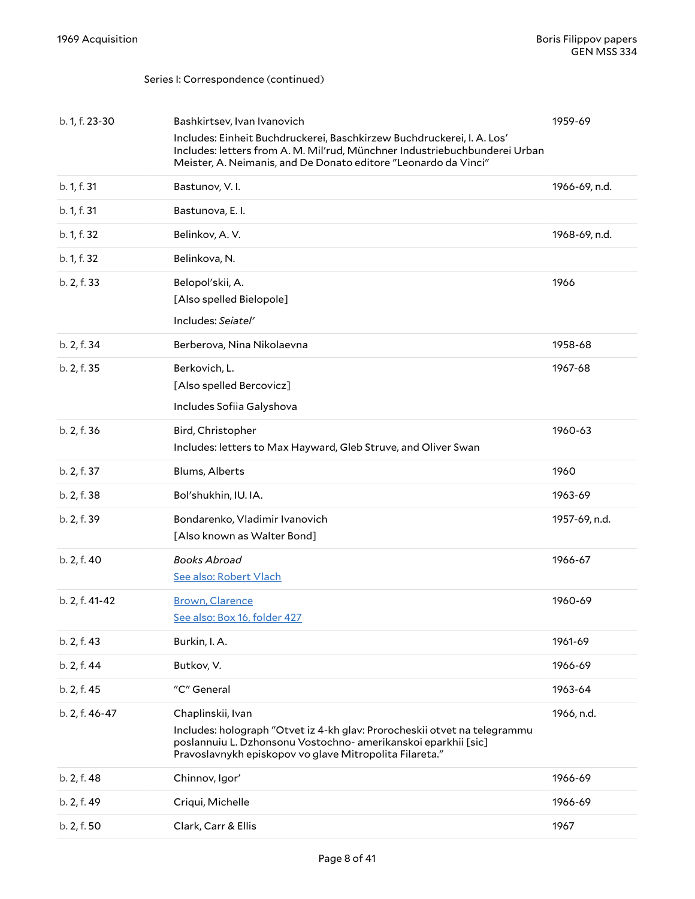<span id="page-7-1"></span><span id="page-7-0"></span>

| b. 1, f. 23-30 | Bashkirtsev, Ivan Ivanovich                                                                                                                                                                                             | 1959-69       |
|----------------|-------------------------------------------------------------------------------------------------------------------------------------------------------------------------------------------------------------------------|---------------|
|                | Includes: Einheit Buchdruckerei, Baschkirzew Buchdruckerei, I. A. Los'<br>Includes: letters from A. M. Mil'rud, Münchner Industriebuchbunderei Urban<br>Meister, A. Neimanis, and De Donato editore "Leonardo da Vinci" |               |
| b. 1, f. 31    | Bastunov, V.I.                                                                                                                                                                                                          | 1966-69, n.d. |
| b. 1, f. 31    | Bastunova, E.I.                                                                                                                                                                                                         |               |
| b. 1, f. 32    | Belinkov, A.V.                                                                                                                                                                                                          | 1968-69, n.d. |
| b. 1, f. 32    | Belinkova, N.                                                                                                                                                                                                           |               |
| b. 2, f. 33    | Belopol'skii, A.                                                                                                                                                                                                        | 1966          |
|                | [Also spelled Bielopole]                                                                                                                                                                                                |               |
|                | Includes: Seiatel'                                                                                                                                                                                                      |               |
| b. 2, f. 34    | Berberova, Nina Nikolaevna                                                                                                                                                                                              | 1958-68       |
| b. 2, f. 35    | Berkovich, L.<br>[Also spelled Bercovicz]                                                                                                                                                                               | 1967-68       |
|                | Includes Sofiia Galyshova                                                                                                                                                                                               |               |
| b. 2, f. 36    | Bird, Christopher                                                                                                                                                                                                       | 1960-63       |
|                | Includes: letters to Max Hayward, Gleb Struve, and Oliver Swan                                                                                                                                                          |               |
| b. 2, f. 37    | Blums, Alberts                                                                                                                                                                                                          | 1960          |
| b. 2, f. 38    | Bol'shukhin, IU. IA.                                                                                                                                                                                                    | 1963-69       |
| b. 2, f. 39    | Bondarenko, Vladimir Ivanovich                                                                                                                                                                                          | 1957-69, n.d. |
|                | [Also known as Walter Bond]                                                                                                                                                                                             |               |
| b. 2, f. 40    | <b>Books Abroad</b><br>See also: Robert Vlach                                                                                                                                                                           | 1966-67       |
|                |                                                                                                                                                                                                                         |               |
| b. 2, f. 41-42 | <b>Brown, Clarence</b><br>See also: Box 16, folder 427                                                                                                                                                                  | 1960-69       |
| b. 2, f. 43    | Burkin, I. A.                                                                                                                                                                                                           | 1961-69       |
| b. 2, f. 44    | Butkov, V.                                                                                                                                                                                                              | 1966-69       |
| b. 2, f. 45    | "C" General                                                                                                                                                                                                             | 1963-64       |
| b. 2, f. 46-47 | Chaplinskii, Ivan                                                                                                                                                                                                       | 1966, n.d.    |
|                | Includes: holograph "Otvet iz 4-kh glav: Prorocheskii otvet na telegrammu<br>poslannuiu L. Dzhonsonu Vostochno- amerikanskoi eparkhii [sic]<br>Pravoslavnykh episkopov vo glave Mitropolita Filareta."                  |               |
| b. 2, f. 48    | Chinnov, Igor'                                                                                                                                                                                                          | 1966-69       |
| b. 2, f. 49    | Criqui, Michelle                                                                                                                                                                                                        | 1966-69       |
| b. 2, f. 50    | Clark, Carr & Ellis                                                                                                                                                                                                     | 1967          |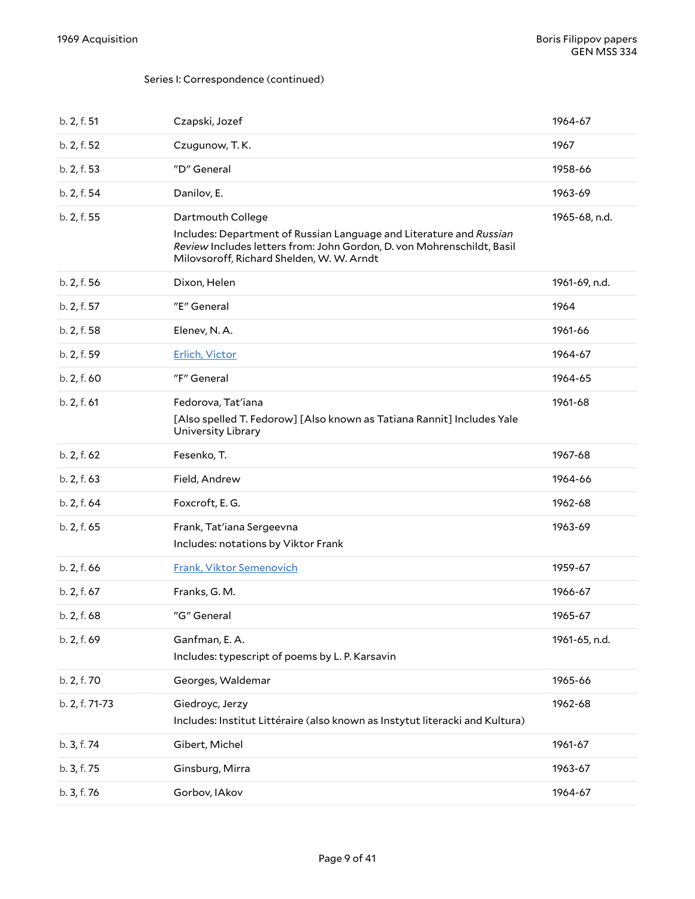<span id="page-8-0"></span>

| b. 2, f. 51    | Czapski, Jozef                                                                                                                                                                                                  | 1964-67       |
|----------------|-----------------------------------------------------------------------------------------------------------------------------------------------------------------------------------------------------------------|---------------|
| b. 2, f. 52    | Czugunow, T.K.                                                                                                                                                                                                  | 1967          |
| b. 2, f. 53    | "D" General                                                                                                                                                                                                     | 1958-66       |
| b. 2, f. 54    | Danilov, E.                                                                                                                                                                                                     | 1963-69       |
| b. 2, f. 55    | Dartmouth College<br>Includes: Department of Russian Language and Literature and Russian<br>Review Includes letters from: John Gordon, D. von Mohrenschildt, Basil<br>Milovsoroff, Richard Shelden, W. W. Arndt | 1965-68, n.d. |
| b. 2, f. 56    | Dixon, Helen                                                                                                                                                                                                    | 1961-69, n.d. |
| b. 2, f. 57    | "E" General                                                                                                                                                                                                     | 1964          |
| b. 2, f. 58    | Elenev, N. A.                                                                                                                                                                                                   | 1961-66       |
| b. 2, f. 59    | Erlich, Victor                                                                                                                                                                                                  | 1964-67       |
| b. 2, f. 60    | "F" General                                                                                                                                                                                                     | 1964-65       |
| b. 2, f. 61    | Fedorova, Tat'iana<br>[Also spelled T. Fedorow] [Also known as Tatiana Rannit] Includes Yale<br>University Library                                                                                              | 1961-68       |
| b. 2, f. 62    | Fesenko, T.                                                                                                                                                                                                     | 1967-68       |
| b. 2, f. 63    | Field, Andrew                                                                                                                                                                                                   | 1964-66       |
| b. 2, f. 64    | Foxcroft, E.G.                                                                                                                                                                                                  | 1962-68       |
| b. 2, f. 65    | Frank, Tat'iana Sergeevna<br>Includes: notations by Viktor Frank                                                                                                                                                | 1963-69       |
| b. 2, f. 66    | Frank, Viktor Semenovich                                                                                                                                                                                        | 1959-67       |
| b. 2, f. 67    | Franks, G. M.                                                                                                                                                                                                   | 1966-67       |
| b. 2, f. 68    | "G" General                                                                                                                                                                                                     | 1965-67       |
| b. 2, f. 69    | Ganfman, E.A.<br>Includes: typescript of poems by L. P. Karsavin                                                                                                                                                | 1961-65, n.d. |
| b. 2, f. 70    | Georges, Waldemar                                                                                                                                                                                               | 1965-66       |
| b. 2, f. 71-73 | Giedroyc, Jerzy<br>Includes: Institut Littéraire (also known as Instytut literacki and Kultura)                                                                                                                 | 1962-68       |
| b. 3, f. 74    | Gibert, Michel                                                                                                                                                                                                  | 1961-67       |
| b. 3, f. 75    | Ginsburg, Mirra                                                                                                                                                                                                 | 1963-67       |
| b. 3, f. 76    | Gorbov, IAkov                                                                                                                                                                                                   | 1964-67       |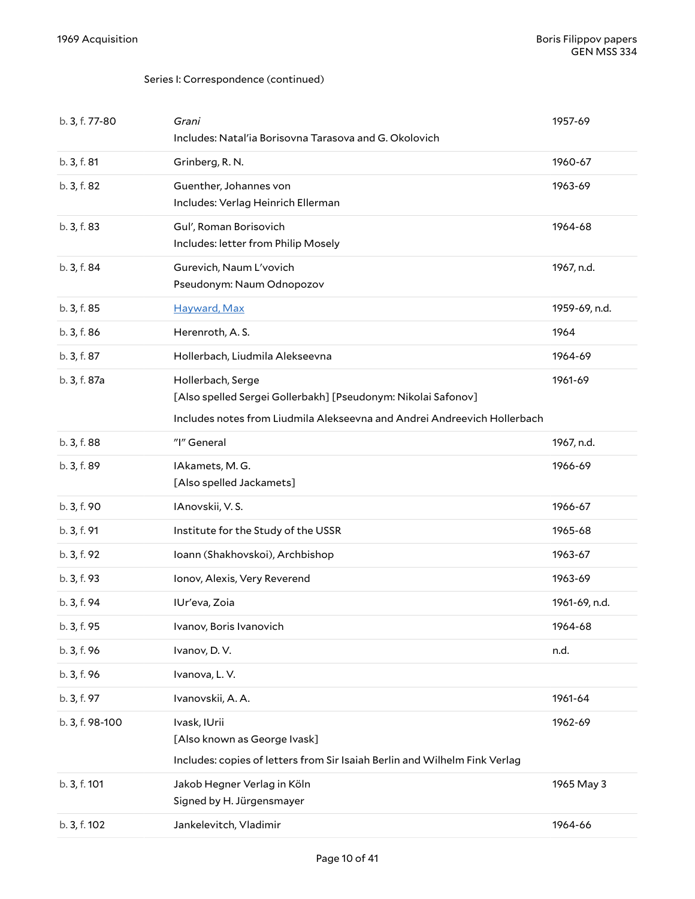| b. 3, f. 77-80  | Grani<br>Includes: Natal'ia Borisovna Tarasova and G. Okolovich                                                                                                | 1957-69       |
|-----------------|----------------------------------------------------------------------------------------------------------------------------------------------------------------|---------------|
| b. 3, f. 81     | Grinberg, R. N.                                                                                                                                                | 1960-67       |
| b. 3, f. 82     | Guenther, Johannes von<br>Includes: Verlag Heinrich Ellerman                                                                                                   | 1963-69       |
| b. 3, f. 83     | Gul', Roman Borisovich<br>Includes: letter from Philip Mosely                                                                                                  | 1964-68       |
| b. 3, f. 84     | Gurevich, Naum L'vovich<br>Pseudonym: Naum Odnopozov                                                                                                           | 1967, n.d.    |
| b. 3, f. 85     | Hayward, Max                                                                                                                                                   | 1959-69, n.d. |
| b. 3, f. 86     | Herenroth, A.S.                                                                                                                                                | 1964          |
| b. 3, f. 87     | Hollerbach, Liudmila Alekseevna                                                                                                                                | 1964-69       |
| b. 3, f. 87a    | Hollerbach, Serge<br>[Also spelled Sergei Gollerbakh] [Pseudonym: Nikolai Safonov]<br>Includes notes from Liudmila Alekseevna and Andrei Andreevich Hollerbach | 1961-69       |
| b. 3, f. 88     | "I" General                                                                                                                                                    | 1967, n.d.    |
| b. 3, f. 89     | IAkamets, M.G.<br>[Also spelled Jackamets]                                                                                                                     | 1966-69       |
| b. 3, f. 90     | IAnovskii, V.S.                                                                                                                                                | 1966-67       |
| b. 3, f. 91     | Institute for the Study of the USSR                                                                                                                            | 1965-68       |
| b. 3, f. 92     | Ioann (Shakhovskoi), Archbishop                                                                                                                                | 1963-67       |
| b. 3, f. 93     | Ionov, Alexis, Very Reverend                                                                                                                                   | 1963-69       |
| b. 3, f. 94     | IUr'eva, Zoia                                                                                                                                                  | 1961-69, n.d. |
| b. 3, f. 95     | Ivanov, Boris Ivanovich                                                                                                                                        | 1964-68       |
| b. 3, f. 96     | Ivanov, D.V.                                                                                                                                                   | n.d.          |
| b. 3, f. 96     | Ivanova, L.V.                                                                                                                                                  |               |
| b. 3, f. 97     | Ivanovskii, A. A.                                                                                                                                              | 1961-64       |
| b. 3, f. 98-100 | Ivask, IUrii<br>[Also known as George Ivask]<br>Includes: copies of letters from Sir Isaiah Berlin and Wilhelm Fink Verlag                                     | 1962-69       |
| b. 3, f. 101    | Jakob Hegner Verlag in Köln<br>Signed by H. Jürgensmayer                                                                                                       | 1965 May 3    |
| b. 3, f. 102    | Jankelevitch, Vladimir                                                                                                                                         | 1964-66       |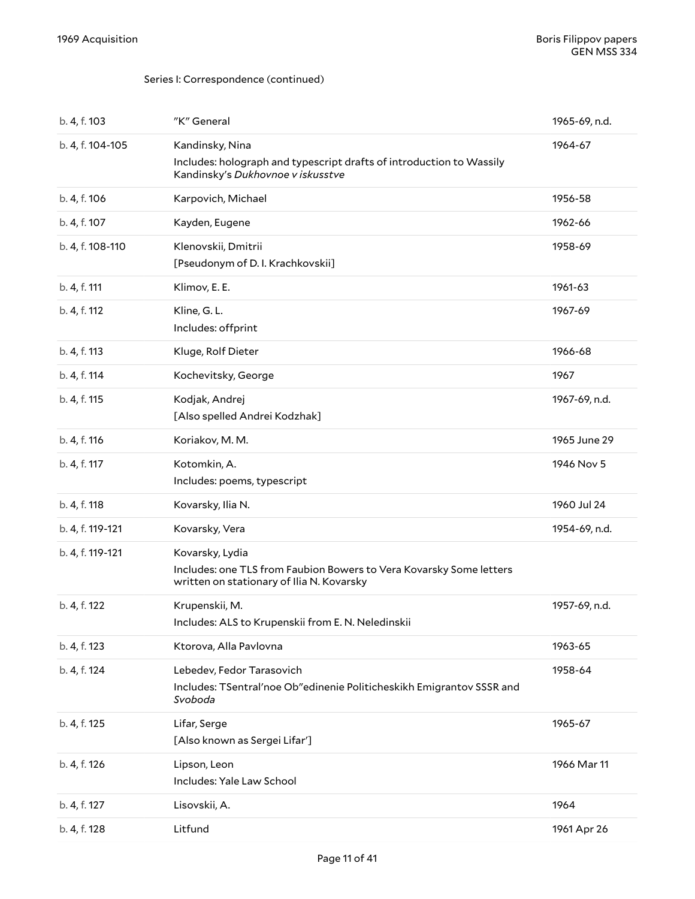| b. 4, f. 103     | "K" General                                                                                                                         | 1965-69, n.d. |
|------------------|-------------------------------------------------------------------------------------------------------------------------------------|---------------|
| b. 4, f. 104-105 | Kandinsky, Nina                                                                                                                     | 1964-67       |
|                  | Includes: holograph and typescript drafts of introduction to Wassily<br>Kandinsky's Dukhovnoe v iskusstve                           |               |
| b. 4, f. 106     | Karpovich, Michael                                                                                                                  | 1956-58       |
| b. 4, f. 107     | Kayden, Eugene                                                                                                                      | 1962-66       |
| b. 4, f. 108-110 | Klenovskii, Dmitrii<br>[Pseudonym of D. I. Krachkovskii]                                                                            | 1958-69       |
| b. 4, f. 111     | Klimov, E. E.                                                                                                                       | 1961-63       |
| b. 4, f. 112     | Kline, G.L.<br>Includes: offprint                                                                                                   | 1967-69       |
| b. 4, f. 113     | Kluge, Rolf Dieter                                                                                                                  | 1966-68       |
| b. 4, f. 114     | Kochevitsky, George                                                                                                                 | 1967          |
| b. 4, f. 115     | Kodjak, Andrej<br>[Also spelled Andrei Kodzhak]                                                                                     | 1967-69, n.d. |
| b. 4, f. 116     | Koriakov, M. M.                                                                                                                     | 1965 June 29  |
| b. 4, f. 117     | Kotomkin, A.<br>Includes: poems, typescript                                                                                         | 1946 Nov 5    |
| b. 4, f. 118     | Kovarsky, Ilia N.                                                                                                                   | 1960 Jul 24   |
| b. 4, f. 119-121 | Kovarsky, Vera                                                                                                                      | 1954-69, n.d. |
| b. 4, f. 119-121 | Kovarsky, Lydia<br>Includes: one TLS from Faubion Bowers to Vera Kovarsky Some letters<br>written on stationary of Ilia N. Kovarsky |               |
| b. 4, f. 122     | Krupenskii, M.<br>Includes: ALS to Krupenskii from E. N. Neledinskii                                                                | 1957-69, n.d. |
| b. 4, f. 123     | Ktorova, Alla Pavlovna                                                                                                              | 1963-65       |
| b. 4, f. 124     | Lebedev, Fedor Tarasovich<br>Includes: TSentral'noe Ob"edinenie Politicheskikh Emigrantov SSSR and<br>Svoboda                       | 1958-64       |
| b. 4, f. 125     | Lifar, Serge<br>[Also known as Sergei Lifar']                                                                                       | 1965-67       |
| b. 4, f. 126     | Lipson, Leon<br>Includes: Yale Law School                                                                                           | 1966 Mar 11   |
| b. 4, f. 127     | Lisovskii, A.                                                                                                                       | 1964          |
| b. 4, f. 128     | Litfund                                                                                                                             | 1961 Apr 26   |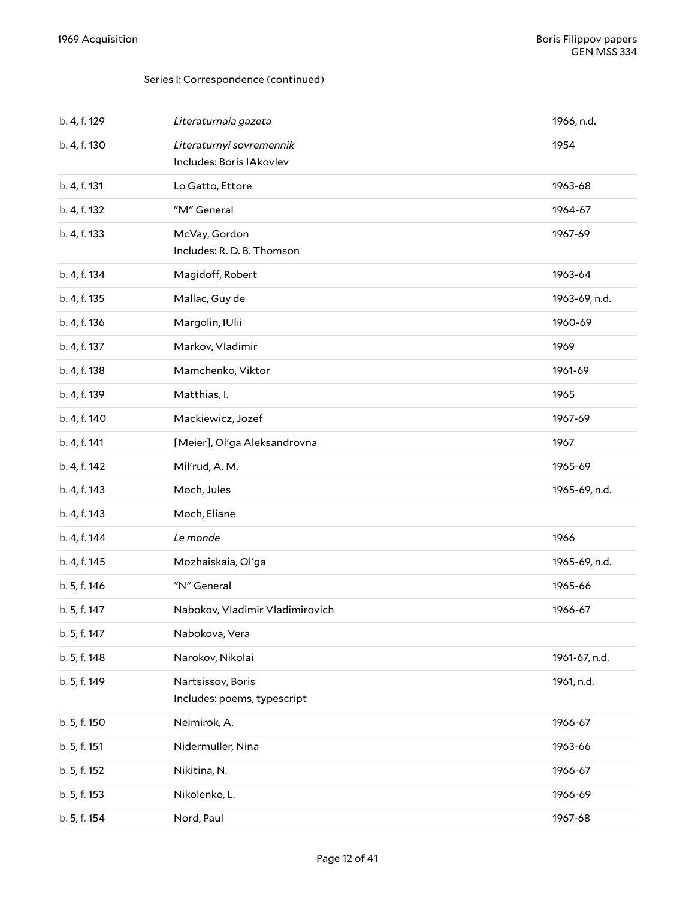| b. 4, f. 129 | Literaturnaia gazeta                                 | 1966, n.d.    |
|--------------|------------------------------------------------------|---------------|
| b. 4, f. 130 | Literaturnyi sovremennik<br>Includes: Boris IAkovlev | 1954          |
| b. 4, f. 131 | Lo Gatto, Ettore                                     | 1963-68       |
| b. 4, f. 132 | "M" General                                          | 1964-67       |
| b. 4, f. 133 | McVay, Gordon<br>Includes: R. D. B. Thomson          | 1967-69       |
| b. 4, f. 134 | Magidoff, Robert                                     | 1963-64       |
| b. 4, f. 135 | Mallac, Guy de                                       | 1963-69, n.d. |
| b. 4, f. 136 | Margolin, IUlii                                      | 1960-69       |
| b. 4, f. 137 | Markov, Vladimir                                     | 1969          |
| b. 4, f. 138 | Mamchenko, Viktor                                    | 1961-69       |
| b. 4, f. 139 | Matthias, I.                                         | 1965          |
| b. 4, f. 140 | Mackiewicz, Jozef                                    | 1967-69       |
| b. 4, f. 141 | [Meier], Ol'ga Aleksandrovna                         | 1967          |
| b. 4, f. 142 | Mil'rud, A. M.                                       | 1965-69       |
| b. 4, f. 143 | Moch, Jules                                          | 1965-69, n.d. |
| b. 4, f. 143 | Moch, Eliane                                         |               |
| b. 4, f. 144 | Le monde                                             | 1966          |
| b. 4, f. 145 | Mozhaiskaia, Ol'ga                                   | 1965-69, n.d. |
| b. 5, f. 146 | "N" General                                          | 1965-66       |
| b. 5, f. 147 | Nabokov, Vladimir Vladimirovich                      | 1966-67       |
| b. 5, f. 147 | Nabokova, Vera                                       |               |
| b. 5, f. 148 | Narokov, Nikolai                                     | 1961-67, n.d. |
| b. 5, f. 149 | Nartsissov, Boris<br>Includes: poems, typescript     | 1961, n.d.    |
| b. 5, f. 150 | Neimirok, A.                                         | 1966-67       |
| b. 5, f. 151 | Nidermuller, Nina                                    | 1963-66       |
| b. 5, f. 152 | Nikitina, N.                                         | 1966-67       |
| b. 5, f. 153 | Nikolenko, L.                                        | 1966-69       |
| b. 5, f. 154 | Nord, Paul                                           | 1967-68       |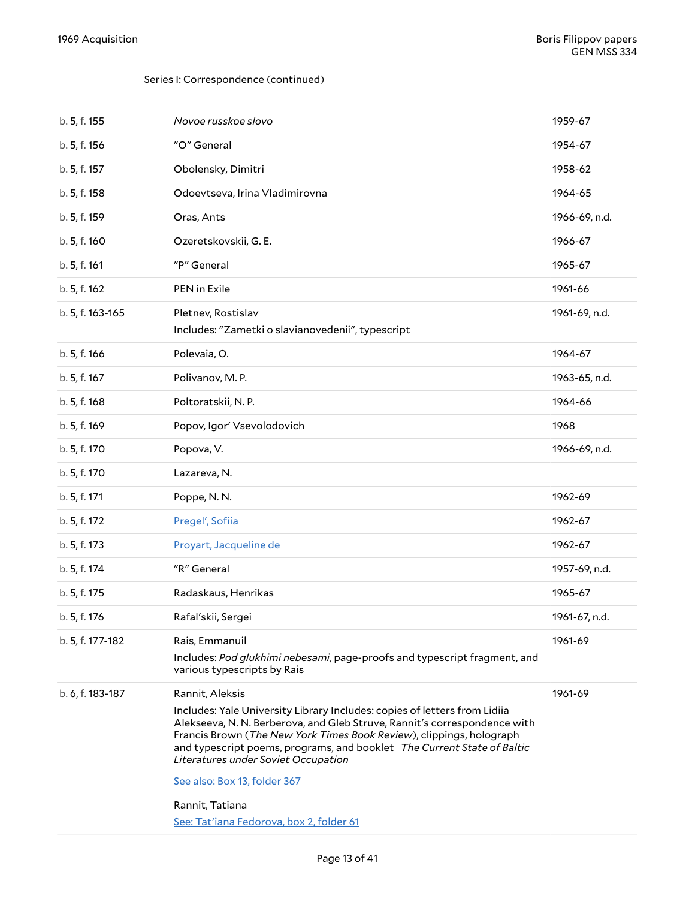| b. 5, f. 155     | Novoe russkoe slovo                                                                                                                                                                                                                                                                                                                                                                                 | 1959-67       |
|------------------|-----------------------------------------------------------------------------------------------------------------------------------------------------------------------------------------------------------------------------------------------------------------------------------------------------------------------------------------------------------------------------------------------------|---------------|
| b. 5, f. 156     | "O" General                                                                                                                                                                                                                                                                                                                                                                                         | 1954-67       |
| b. 5, f. 157     | Obolensky, Dimitri                                                                                                                                                                                                                                                                                                                                                                                  | 1958-62       |
| b. 5, f. 158     | Odoevtseva, Irina Vladimirovna                                                                                                                                                                                                                                                                                                                                                                      | 1964-65       |
| b. 5, f. 159     | Oras, Ants                                                                                                                                                                                                                                                                                                                                                                                          | 1966-69, n.d. |
| b. 5, f. 160     | Ozeretskovskii, G. E.                                                                                                                                                                                                                                                                                                                                                                               | 1966-67       |
| b. 5, f. 161     | "P" General                                                                                                                                                                                                                                                                                                                                                                                         | 1965-67       |
| b. 5, f. 162     | PEN in Exile                                                                                                                                                                                                                                                                                                                                                                                        | 1961-66       |
| b. 5, f. 163-165 | Pletnev, Rostislav<br>Includes: "Zametki o slavianovedenii", typescript                                                                                                                                                                                                                                                                                                                             | 1961-69, n.d. |
| b. 5, f. 166     | Polevaia, O.                                                                                                                                                                                                                                                                                                                                                                                        | 1964-67       |
| b. 5, f. 167     | Polivanov, M.P.                                                                                                                                                                                                                                                                                                                                                                                     | 1963-65, n.d. |
| b. 5, f. 168     | Poltoratskii, N.P.                                                                                                                                                                                                                                                                                                                                                                                  | 1964-66       |
| b. 5, f. 169     | Popov, Igor' Vsevolodovich                                                                                                                                                                                                                                                                                                                                                                          | 1968          |
| b. 5, f. 170     | Popova, V.                                                                                                                                                                                                                                                                                                                                                                                          | 1966-69, n.d. |
| b. 5, f. 170     | Lazareva, N.                                                                                                                                                                                                                                                                                                                                                                                        |               |
| b. 5, f. 171     | Poppe, N.N.                                                                                                                                                                                                                                                                                                                                                                                         | 1962-69       |
| b. 5, f. 172     | Pregel', Sofiia                                                                                                                                                                                                                                                                                                                                                                                     | 1962-67       |
| b. 5, f. 173     | Proyart, Jacqueline de                                                                                                                                                                                                                                                                                                                                                                              | 1962-67       |
| b. 5, f. 174     | "R" General                                                                                                                                                                                                                                                                                                                                                                                         | 1957-69, n.d. |
| b. 5, f. 175     | Radaskaus, Henrikas                                                                                                                                                                                                                                                                                                                                                                                 | 1965-67       |
| b. 5, f. 176     | Rafal'skii, Sergei                                                                                                                                                                                                                                                                                                                                                                                  | 1961-67, n.d. |
| b. 5, f. 177-182 | Rais, Emmanuil<br>Includes: Pod glukhimi nebesami, page-proofs and typescript fragment, and<br>various typescripts by Rais                                                                                                                                                                                                                                                                          | 1961-69       |
| b. 6, f. 183-187 | Rannit, Aleksis<br>Includes: Yale University Library Includes: copies of letters from Lidiia<br>Alekseeva, N. N. Berberova, and Gleb Struve, Rannit's correspondence with<br>Francis Brown (The New York Times Book Review), clippings, holograph<br>and typescript poems, programs, and booklet The Current State of Baltic<br>Literatures under Soviet Occupation<br>See also: Box 13, folder 367 | 1961-69       |
|                  | Rannit, Tatiana<br>See: Tat'iana Fedorova, box 2, folder 61                                                                                                                                                                                                                                                                                                                                         |               |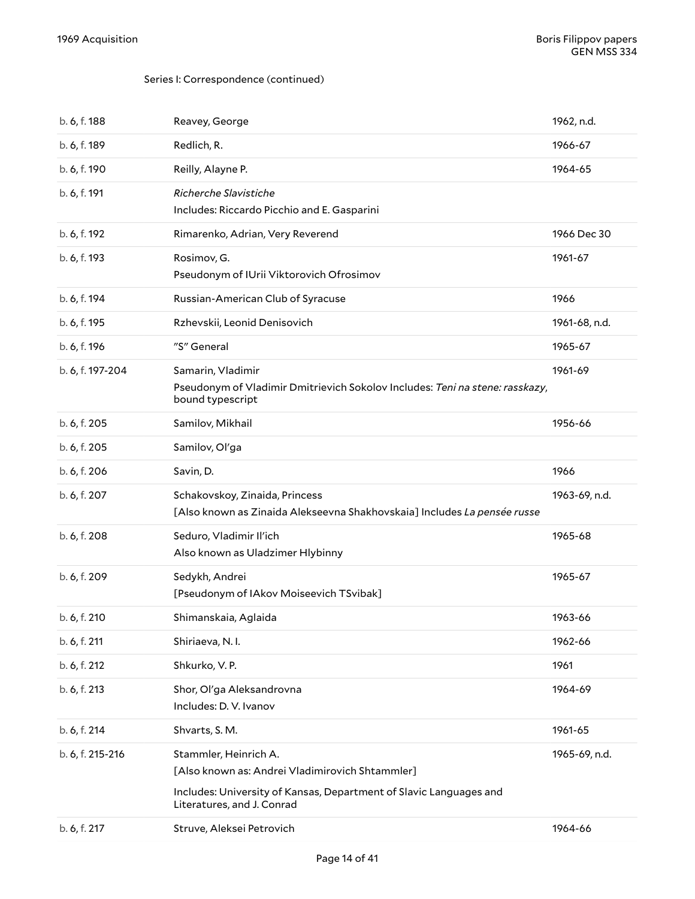| b. 6, f. 188     | Reavey, George                                                                                                                                                               | 1962, n.d.    |
|------------------|------------------------------------------------------------------------------------------------------------------------------------------------------------------------------|---------------|
| b. 6, f. 189     | Redlich, R.                                                                                                                                                                  | 1966-67       |
| b. 6, f. 190     | Reilly, Alayne P.                                                                                                                                                            | 1964-65       |
| b. 6, f. 191     | Richerche Slavistiche<br>Includes: Riccardo Picchio and E. Gasparini                                                                                                         |               |
| b. 6, f. 192     | Rimarenko, Adrian, Very Reverend                                                                                                                                             | 1966 Dec 30   |
| b. 6, f. 193     | Rosimov, G.<br>Pseudonym of IUrii Viktorovich Ofrosimov                                                                                                                      | 1961-67       |
| b. 6, f. 194     | Russian-American Club of Syracuse                                                                                                                                            | 1966          |
| b. 6, f. 195     | Rzhevskii, Leonid Denisovich                                                                                                                                                 | 1961-68, n.d. |
| b. 6, f. 196     | "S" General                                                                                                                                                                  | 1965-67       |
| b. 6, f. 197-204 | Samarin, Vladimir<br>Pseudonym of Vladimir Dmitrievich Sokolov Includes: Teni na stene: rasskazy,<br>bound typescript                                                        | 1961-69       |
| b. 6, f. 205     | Samilov, Mikhail                                                                                                                                                             | 1956-66       |
| b. 6, f. 205     | Samilov, Ol'ga                                                                                                                                                               |               |
| b. 6, f. 206     | Savin, D.                                                                                                                                                                    | 1966          |
| b. 6, f. 207     | Schakovskoy, Zinaida, Princess<br>[Also known as Zinaida Alekseevna Shakhovskaia] Includes La pensée russe                                                                   | 1963-69, n.d. |
| b. 6, f. 208     | Seduro, Vladimir Il'ich<br>Also known as Uladzimer Hlybinny                                                                                                                  | 1965-68       |
| b. 6, f. 209     | Sedykh, Andrei<br>[Pseudonym of IAkov Moiseevich TSvibak]                                                                                                                    | 1965-67       |
| b. 6, f. 210     | Shimanskaia, Aglaida                                                                                                                                                         | 1963-66       |
| b. 6, f. 211     | Shiriaeva, N.I.                                                                                                                                                              | 1962-66       |
| b. 6, f. 212     | Shkurko, V.P.                                                                                                                                                                | 1961          |
| b. 6, f. 213     | Shor, Ol'ga Aleksandrovna<br>Includes: D. V. Ivanov                                                                                                                          | 1964-69       |
| b. 6, f. 214     | Shvarts, S.M.                                                                                                                                                                | 1961-65       |
| b. 6, f. 215-216 | Stammler, Heinrich A.<br>[Also known as: Andrei Vladimirovich Shtammler]<br>Includes: University of Kansas, Department of Slavic Languages and<br>Literatures, and J. Conrad | 1965-69, n.d. |
| b. 6, f. 217     | Struve, Aleksei Petrovich                                                                                                                                                    | 1964-66       |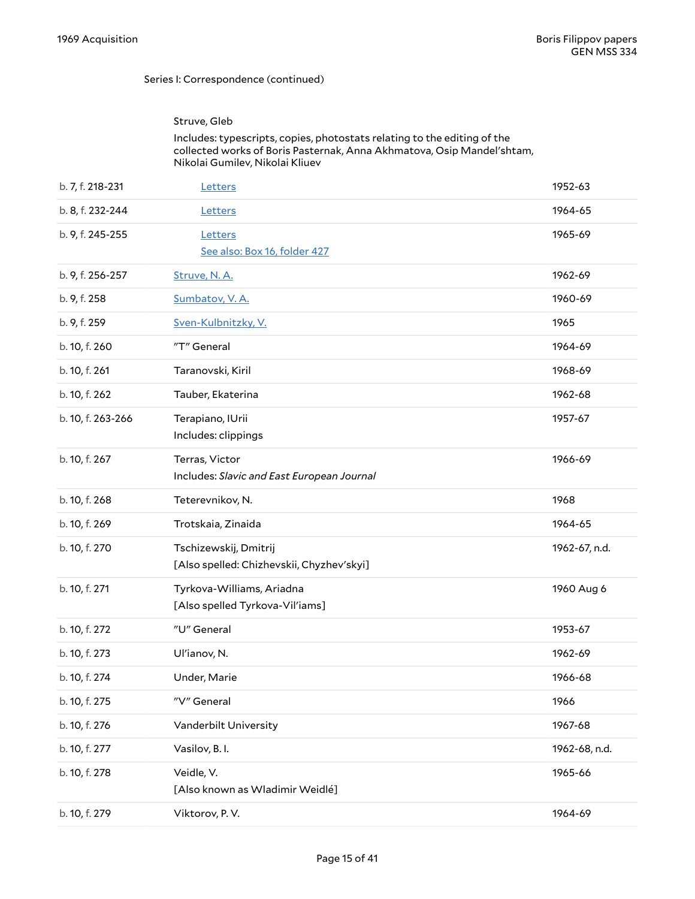#### Struve, Gleb

#### Includes: typescripts, copies, photostats relating to the editing of the collected works of Boris Pasternak, Anna Akhmatova, Osip Mandel'shtam, Nikolai Gumilev, Nikolai Kliuev

| b. 7, f. 218-231  | Letters                                                            | 1952-63       |
|-------------------|--------------------------------------------------------------------|---------------|
| b. 8, f. 232-244  | Letters                                                            | 1964-65       |
| b. 9, f. 245-255  | Letters<br>See also: Box 16, folder 427                            | 1965-69       |
|                   |                                                                    |               |
| b. 9, f. 256-257  | Struve, N.A.                                                       | 1962-69       |
| b. 9, f. 258      | Sumbatov, V.A.                                                     | 1960-69       |
| b. 9, f. 259      | Sven-Kulbnitzky, V.                                                | 1965          |
| b. 10, f. 260     | "T" General                                                        | 1964-69       |
| b. 10, f. 261     | Taranovski, Kiril                                                  | 1968-69       |
| b. 10, f. 262     | Tauber, Ekaterina                                                  | 1962-68       |
| b. 10, f. 263-266 | Terapiano, IUrii<br>Includes: clippings                            | 1957-67       |
| b. 10, f. 267     | Terras, Victor<br>Includes: Slavic and East European Journal       | 1966-69       |
| b. 10, f. 268     | Teterevnikov, N.                                                   | 1968          |
| b. 10, f. 269     | Trotskaia, Zinaida                                                 | 1964-65       |
| b. 10, f. 270     | Tschizewskij, Dmitrij<br>[Also spelled: Chizhevskii, Chyzhev'skyi] | 1962-67, n.d. |
| b. 10, f. 271     | Tyrkova-Williams, Ariadna<br>[Also spelled Tyrkova-Vil'iams]       | 1960 Aug 6    |
| b. 10, f. 272     | "U" General                                                        | 1953-67       |
| b. 10, f. 273     | Ul'ianov, N.                                                       | 1962-69       |
| b. 10, f. 274     | Under, Marie                                                       | 1966-68       |
| b. 10, f. 275     | "V" General                                                        | 1966          |
| b. 10, f. 276     | Vanderbilt University                                              | 1967-68       |
| b. 10, f. 277     | Vasilov, B. I.                                                     | 1962-68, n.d. |
| b. 10, f. 278     | Veidle, V.<br>[Also known as Wladimir Weidlé]                      | 1965-66       |
| b. 10, f. 279     | Viktorov, P.V.                                                     | 1964-69       |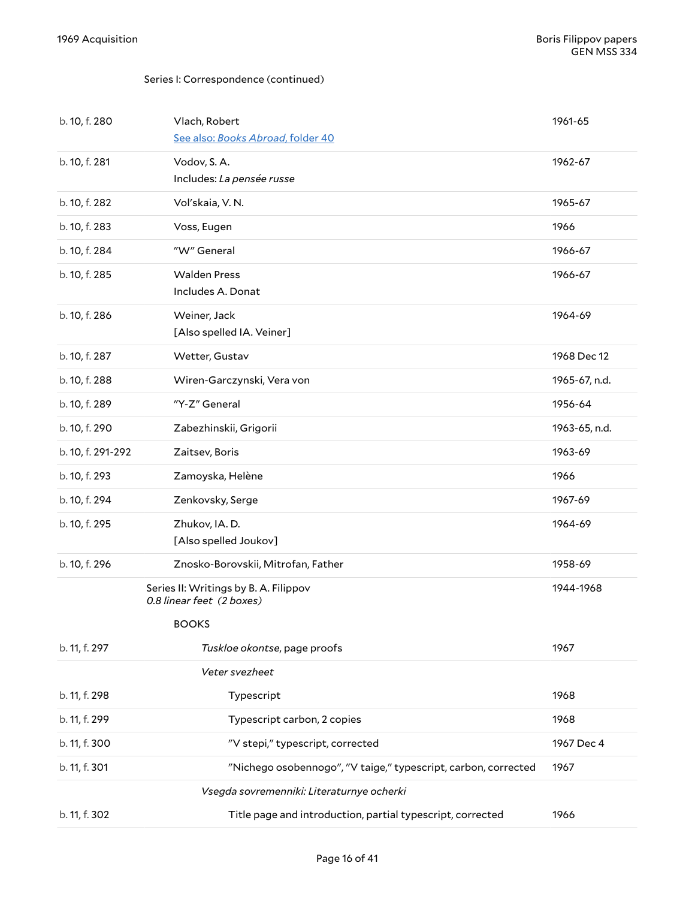<span id="page-15-1"></span><span id="page-15-0"></span>

| b. 10, f. 280     | Vlach, Robert<br>See also: Books Abroad, folder 40                                 | 1961-65       |
|-------------------|------------------------------------------------------------------------------------|---------------|
| b. 10, f. 281     | Vodov, S.A.<br>Includes: La pensée russe                                           | 1962-67       |
| b. 10, f. 282     | Vol'skaia, V.N.                                                                    | 1965-67       |
| b. 10, f. 283     | Voss, Eugen                                                                        | 1966          |
| b. 10, f. 284     | "W" General                                                                        | 1966-67       |
| b. 10, f. 285     | <b>Walden Press</b><br>Includes A. Donat                                           | 1966-67       |
| b. 10, f. 286     | Weiner, Jack<br>[Also spelled IA. Veiner]                                          | 1964-69       |
| b. 10, f. 287     | Wetter, Gustav                                                                     | 1968 Dec 12   |
| b. 10, f. 288     | Wiren-Garczynski, Vera von                                                         | 1965-67, n.d. |
| b. 10, f. 289     | "Y-Z" General                                                                      | 1956-64       |
| b. 10, f. 290     | Zabezhinskii, Grigorii                                                             | 1963-65, n.d. |
| b. 10, f. 291-292 | Zaitsev, Boris                                                                     | 1963-69       |
| b. 10, f. 293     | Zamoyska, Helène                                                                   | 1966          |
| b. 10, f. 294     | Zenkovsky, Serge                                                                   | 1967-69       |
| b. 10, f. 295     | Zhukov, IA. D.<br>[Also spelled Joukov]                                            | 1964-69       |
| b. 10, f. 296     | Znosko-Borovskii, Mitrofan, Father                                                 | 1958-69       |
|                   | Series II: Writings by B. A. Filippov<br>0.8 linear feet (2 boxes)<br><b>BOOKS</b> | 1944-1968     |
| b. 11, f. 297     | Tuskloe okontse, page proofs                                                       | 1967          |
|                   | Veter svezheet                                                                     |               |
| b. 11, f. 298     | Typescript                                                                         | 1968          |
| b. 11, f. 299     | Typescript carbon, 2 copies                                                        | 1968          |
| b. 11, f. 300     | "V stepi," typescript, corrected                                                   | 1967 Dec 4    |
| b. 11, f. 301     | "Nichego osobennogo", "V taige," typescript, carbon, corrected                     | 1967          |
|                   | Vsegda sovremenniki: Literaturnye ocherki                                          |               |
| b. 11, f. 302     | Title page and introduction, partial typescript, corrected                         | 1966          |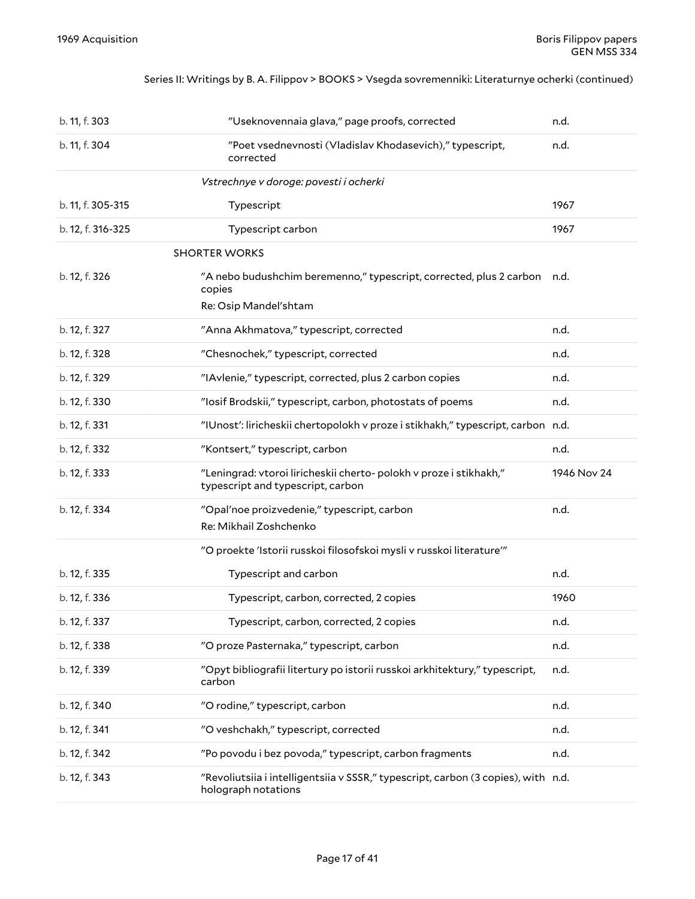#### Series II: Writings by B. A. Filippov > BOOKS > Vsegda sovremenniki: Literaturnye ocherki (continued)

<span id="page-16-0"></span>

| b. 11, f. 303     | "Useknovennaia glava," page proofs, corrected                                                               | n.d.        |
|-------------------|-------------------------------------------------------------------------------------------------------------|-------------|
| b. 11, f. 304     | "Poet vsednevnosti (Vladislav Khodasevich)," typescript,<br>corrected                                       | n.d.        |
|                   | Vstrechnye v doroge: povesti i ocherki                                                                      |             |
| b. 11, f. 305-315 | Typescript                                                                                                  | 1967        |
| b. 12, f. 316-325 | Typescript carbon                                                                                           | 1967        |
|                   | <b>SHORTER WORKS</b>                                                                                        |             |
| b. 12, f. 326     | "A nebo budushchim beremenno," typescript, corrected, plus 2 carbon n.d.<br>copies<br>Re: Osip Mandel'shtam |             |
| b. 12, f. 327     | "Anna Akhmatova," typescript, corrected                                                                     | n.d.        |
| b. 12, f. 328     | "Chesnochek," typescript, corrected                                                                         | n.d.        |
| b. 12, f. 329     | "IAvlenie," typescript, corrected, plus 2 carbon copies                                                     | n.d.        |
| b. 12, f. 330     | "losif Brodskii," typescript, carbon, photostats of poems                                                   | n.d.        |
| b. 12, f. 331     | "IUnost': liricheskii chertopolokh v proze i stikhakh," typescript, carbon n.d.                             |             |
| b. 12, f. 332     | "Kontsert," typescript, carbon                                                                              | n.d.        |
| b. 12, f. 333     | "Leningrad: vtoroi liricheskii cherto- polokh v proze i stikhakh,"<br>typescript and typescript, carbon     | 1946 Nov 24 |
| b. 12, f. 334     | "Opal'noe proizvedenie," typescript, carbon<br>Re: Mikhail Zoshchenko                                       | n.d.        |
|                   | "O proekte 'Istorii russkoi filosofskoi mysli v russkoi literature""                                        |             |
| b. 12, f. 335     | Typescript and carbon                                                                                       | n.d.        |
| b. 12, f. 336     | Typescript, carbon, corrected, 2 copies                                                                     | 1960        |
| b. 12, f. 337     | Typescript, carbon, corrected, 2 copies                                                                     | n.d.        |
| b. 12, f. 338     | "O proze Pasternaka," typescript, carbon                                                                    | n.d.        |
| b. 12, f. 339     | "Opyt bibliografii litertury po istorii russkoi arkhitektury," typescript,<br>carbon                        | n.d.        |
| b. 12, f. 340     | "O rodine," typescript, carbon                                                                              | n.d.        |
| b. 12, f. 341     | "O veshchakh," typescript, corrected                                                                        | n.d.        |
| b. 12, f. 342     | "Po povodu i bez povoda," typescript, carbon fragments                                                      | n.d.        |
| b. 12, f. 343     | "Revoliutsiia i intelligentsiia v SSSR," typescript, carbon (3 copies), with n.d.<br>holograph notations    |             |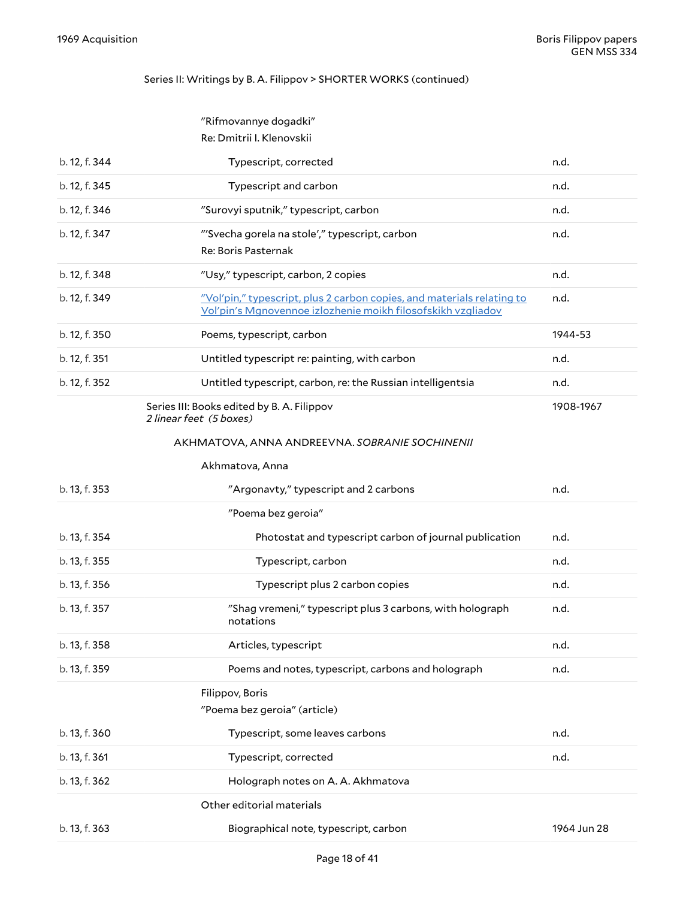### Series II: Writings by B. A. Filippov > SHORTER WORKS (continued)

<span id="page-17-4"></span><span id="page-17-3"></span><span id="page-17-2"></span><span id="page-17-1"></span><span id="page-17-0"></span>

|               | "Rifmovannye dogadki"                                                                                                                  |           |
|---------------|----------------------------------------------------------------------------------------------------------------------------------------|-----------|
|               | Re: Dmitrii I. Klenovskii                                                                                                              |           |
| b. 12, f. 344 | Typescript, corrected                                                                                                                  | n.d.      |
| b. 12, f. 345 | Typescript and carbon                                                                                                                  | n.d.      |
| b. 12, f. 346 | "Surovyi sputnik," typescript, carbon                                                                                                  | n.d.      |
| b. 12, f. 347 | "'Svecha gorela na stole'," typescript, carbon                                                                                         | n.d.      |
|               | Re: Boris Pasternak                                                                                                                    |           |
| b. 12, f. 348 | "Usy," typescript, carbon, 2 copies                                                                                                    | n.d.      |
| b. 12, f. 349 | "Vol'pin," typescript, plus 2 carbon copies, and materials relating to<br>Vol'pin's Mgnovennoe izlozhenie moikh filosofskikh vzgliadov | n.d.      |
| b. 12, f. 350 | Poems, typescript, carbon                                                                                                              | 1944-53   |
| b. 12, f. 351 | Untitled typescript re: painting, with carbon                                                                                          | n.d.      |
| b. 12, f. 352 | Untitled typescript, carbon, re: the Russian intelligentsia                                                                            | n.d.      |
|               | Series III: Books edited by B. A. Filippov<br>2 linear feet (5 boxes)                                                                  | 1908-1967 |
|               | AKHMATOVA, ANNA ANDREEVNA. SOBRANIE SOCHINENII                                                                                         |           |
|               | Akhmatova, Anna                                                                                                                        |           |
| b. 13, f. 353 | "Argonavty," typescript and 2 carbons                                                                                                  | n.d.      |
|               | "Poema bez geroia"                                                                                                                     |           |
| b. 13, f. 354 | Photostat and typescript carbon of journal publication                                                                                 | n.d.      |
| b. 13, f. 355 | Typescript, carbon                                                                                                                     | n.d.      |
| b. 13, f. 356 | Typescript plus 2 carbon copies                                                                                                        | n.d.      |
| b. 13, f. 357 | "Shag vremeni," typescript plus 3 carbons, with holograph<br>notations                                                                 | n.d.      |
| b. 13, f. 358 | Articles, typescript                                                                                                                   | n.d.      |
| b. 13, f. 359 | Poems and notes, typescript, carbons and holograph                                                                                     | n.d.      |
|               |                                                                                                                                        |           |
|               | Filippov, Boris<br>"Poema bez geroia" (article)                                                                                        |           |
| b. 13, f. 360 | Typescript, some leaves carbons                                                                                                        | n.d.      |
| b. 13, f. 361 | Typescript, corrected                                                                                                                  | n.d.      |
| b. 13, f. 362 | Holograph notes on A. A. Akhmatova                                                                                                     |           |
|               | Other editorial materials                                                                                                              |           |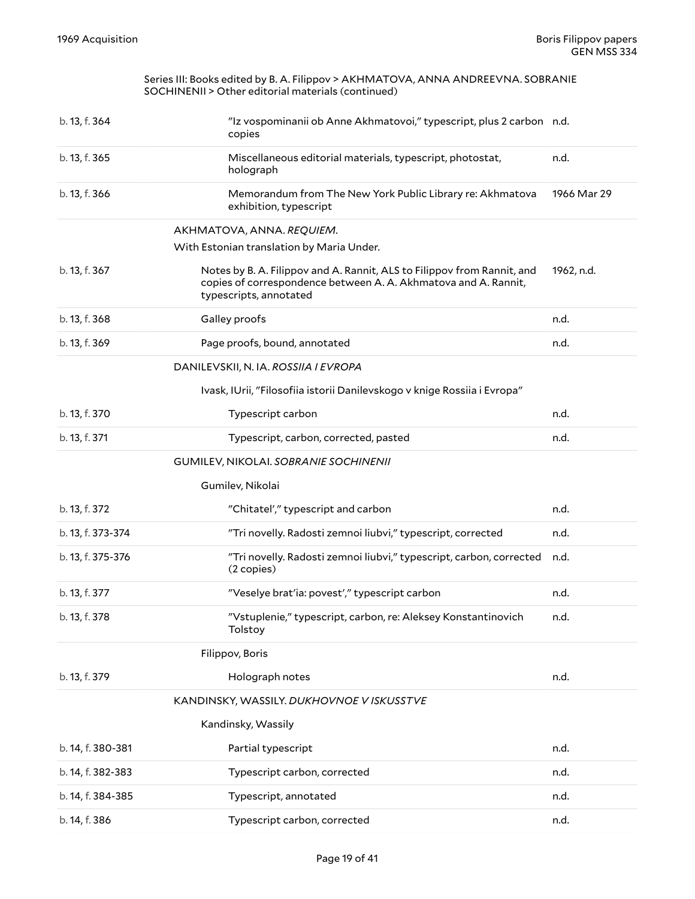<span id="page-18-8"></span><span id="page-18-7"></span><span id="page-18-6"></span><span id="page-18-5"></span><span id="page-18-4"></span><span id="page-18-3"></span><span id="page-18-2"></span><span id="page-18-1"></span><span id="page-18-0"></span>

|                   | Series III: Books edited by B. A. Filippov > AKHMATOVA, ANNA ANDREEVNA. SOBRANIE<br>SOCHINENII > Other editorial materials (continued)                               |             |
|-------------------|----------------------------------------------------------------------------------------------------------------------------------------------------------------------|-------------|
| b. 13, f. 364     | "Iz vospominanii ob Anne Akhmatovoi," typescript, plus 2 carbon n.d.<br>copies                                                                                       |             |
| b. 13, f. 365     | Miscellaneous editorial materials, typescript, photostat,<br>holograph                                                                                               | n.d.        |
| b. 13, f. 366     | Memorandum from The New York Public Library re: Akhmatova<br>exhibition, typescript                                                                                  | 1966 Mar 29 |
|                   | AKHMATOVA, ANNA. REQUIEM.<br>With Estonian translation by Maria Under.                                                                                               |             |
| b. 13, f. 367     | Notes by B. A. Filippov and A. Rannit, ALS to Filippov from Rannit, and<br>copies of correspondence between A. A. Akhmatova and A. Rannit,<br>typescripts, annotated | 1962, n.d.  |
| b. 13, f. 368     | Galley proofs                                                                                                                                                        | n.d.        |
| b. 13, f. 369     | Page proofs, bound, annotated                                                                                                                                        | n.d.        |
|                   | DANILEVSKII, N. IA. ROSSIIA I EVROPA                                                                                                                                 |             |
|                   | Ivask, IUrii, "Filosofiia istorii Danilevskogo v knige Rossiia i Evropa"                                                                                             |             |
| b. 13, f. 370     | Typescript carbon                                                                                                                                                    | n.d.        |
| b. 13, f. 371     | Typescript, carbon, corrected, pasted                                                                                                                                | n.d.        |
|                   | GUMILEV, NIKOLAI. SOBRANIE SOCHINENII                                                                                                                                |             |
|                   | Gumilev, Nikolai                                                                                                                                                     |             |
| b. 13, f. 372     | "Chitatel'," typescript and carbon                                                                                                                                   | n.d.        |
| b. 13, f. 373-374 | "Tri novelly. Radosti zemnoi liubvi," typescript, corrected                                                                                                          | n.d.        |
| b. 13, f. 375-376 | "Tri novelly. Radosti zemnoi liubvi," typescript, carbon, corrected<br>(2 copies)                                                                                    | n.d.        |
| b. 13, f. 377     | "Veselye brat'ia: povest'," typescript carbon                                                                                                                        | n.d.        |
| b. 13, f. 378     | "Vstuplenie," typescript, carbon, re: Aleksey Konstantinovich<br>Tolstoy                                                                                             | n.d.        |
|                   | Filippov, Boris                                                                                                                                                      |             |
| b. 13, f. 379     | Holograph notes                                                                                                                                                      | n.d.        |
|                   | KANDINSKY, WASSILY. DUKHOVNOE V ISKUSSTVE                                                                                                                            |             |
|                   | Kandinsky, Wassily                                                                                                                                                   |             |
| b. 14, f. 380-381 | Partial typescript                                                                                                                                                   | n.d.        |
| b. 14, f. 382-383 | Typescript carbon, corrected                                                                                                                                         | n.d.        |
| b. 14, f. 384-385 | Typescript, annotated                                                                                                                                                | n.d.        |
| b. 14, f. 386     | Typescript carbon, corrected                                                                                                                                         | n.d.        |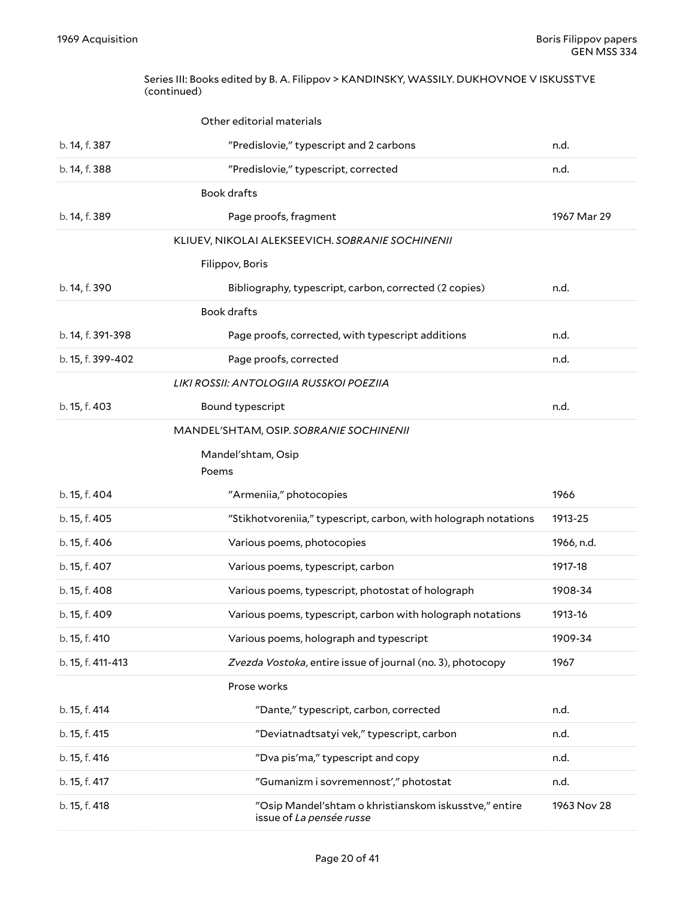#### <span id="page-19-0"></span>Series III: Books edited by B. A. Filippov > KANDINSKY, WASSILY. DUKHOVNOE V ISKUSSTVE (continued)

<span id="page-19-7"></span><span id="page-19-6"></span><span id="page-19-5"></span><span id="page-19-4"></span><span id="page-19-3"></span><span id="page-19-2"></span><span id="page-19-1"></span>

|                   | Other editorial materials                                       |             |
|-------------------|-----------------------------------------------------------------|-------------|
| b. 14, f. 387     | "Predislovie," typescript and 2 carbons                         | n.d.        |
| b. 14, f. 388     | "Predislovie," typescript, corrected                            | n.d.        |
|                   | <b>Book drafts</b>                                              |             |
| b. 14, f. 389     | Page proofs, fragment                                           | 1967 Mar 29 |
|                   | KLIUEV, NIKOLAI ALEKSEEVICH. SOBRANIE SOCHINENII                |             |
|                   | Filippov, Boris                                                 |             |
| b. 14, f. 390     | Bibliography, typescript, carbon, corrected (2 copies)          | n.d.        |
|                   | <b>Book drafts</b>                                              |             |
| b. 14, f. 391-398 | Page proofs, corrected, with typescript additions               | n.d.        |
| b. 15, f. 399-402 | Page proofs, corrected                                          | n.d.        |
|                   | LIKI ROSSII: ANTOLOGIIA RUSSKOI POEZIIA                         |             |
| b. 15, f. 403     | Bound typescript                                                | n.d.        |
|                   | MANDEL'SHTAM, OSIP. SOBRANIE SOCHINENII                         |             |
|                   | Mandel'shtam, Osip                                              |             |
|                   | Poems                                                           |             |
| b. 15, f. 404     | "Armeniia," photocopies                                         | 1966        |
| b. 15, f. 405     | "Stikhotvoreniia," typescript, carbon, with holograph notations | 1913-25     |
| b. 15, f. 406     | Various poems, photocopies                                      | 1966, n.d.  |
| b. 15, f. 407     | Various poems, typescript, carbon                               | 1917-18     |
| b. 15, f. 408     | Various poems, typescript, photostat of holograph               | 1908-34     |
| b. 15, f. 409     | Various poems, typescript, carbon with holograph notations      | 1913-16     |
| b. 15, f. 410     | Various poems, holograph and typescript                         | 1909-34     |
| b. 15, f. 411-413 | Zvezda Vostoka, entire issue of journal (no. 3), photocopy      | 1967        |
|                   | Prose works                                                     |             |
| b. 15, f. 414     | "Dante," typescript, carbon, corrected                          | n.d.        |
| b. 15, f. 415     | "Deviatnadtsatyi vek," typescript, carbon                       | n.d.        |
| b. 15, f. 416     | "Dva pis'ma," typescript and copy                               | n.d.        |
| b. 15, f. 417     | "Gumanizm i sovremennost'," photostat                           | n.d.        |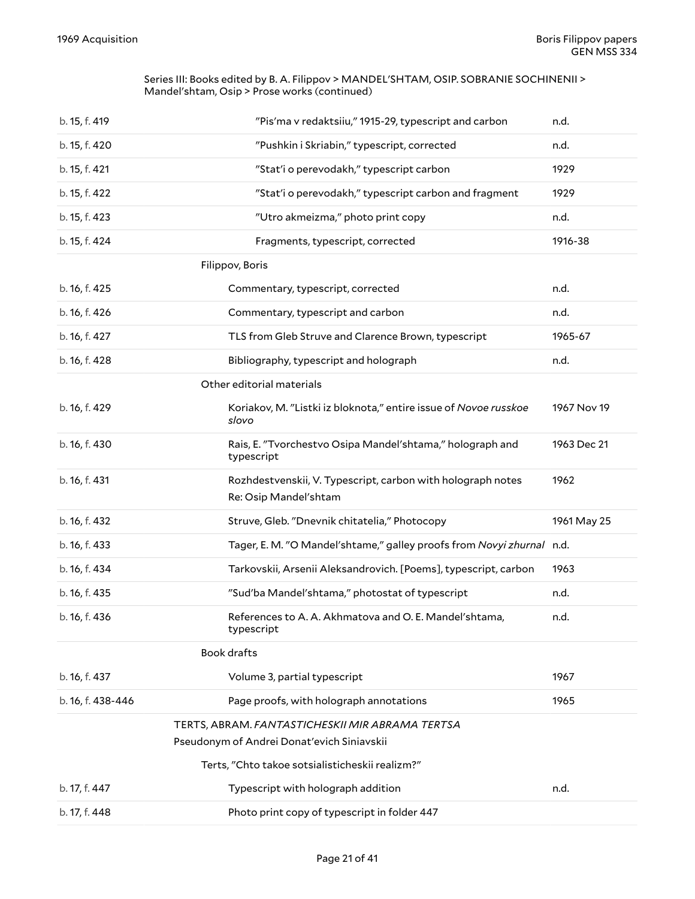#### Series III: Books edited by B. A. Filippov > MANDEL'SHTAM, OSIP. SOBRANIE SOCHINENII > Mandel'shtam, Osip > Prose works (continued)

<span id="page-20-5"></span><span id="page-20-4"></span><span id="page-20-3"></span><span id="page-20-2"></span><span id="page-20-1"></span><span id="page-20-0"></span>

| b. 15, f. 419     | "Pis'ma v redaktsiiu," 1915-29, typescript and carbon                                | n.d.        |
|-------------------|--------------------------------------------------------------------------------------|-------------|
| b. 15, f. 420     | "Pushkin i Skriabin," typescript, corrected                                          | n.d.        |
| b. 15, f. 421     | "Stat'i o perevodakh," typescript carbon                                             | 1929        |
| b. 15, f. 422     | "Stat'i o perevodakh," typescript carbon and fragment                                | 1929        |
| b. 15, f. 423     | "Utro akmeizma," photo print copy                                                    | n.d.        |
| b. 15, f. 424     | Fragments, typescript, corrected                                                     | 1916-38     |
|                   | Filippov, Boris                                                                      |             |
| b. 16, f. 425     | Commentary, typescript, corrected                                                    | n.d.        |
| b. 16, f. 426     | Commentary, typescript and carbon                                                    | n.d.        |
| b. 16, f. 427     | TLS from Gleb Struve and Clarence Brown, typescript                                  | 1965-67     |
| b. 16, f. 428     | Bibliography, typescript and holograph                                               | n.d.        |
|                   | Other editorial materials                                                            |             |
| b. 16, f. 429     | Koriakov, M. "Listki iz bloknota," entire issue of Novoe russkoe<br>slovo            | 1967 Nov 19 |
| b. 16, f. 430     | Rais, E. "Tvorchestvo Osipa Mandel'shtama," holograph and<br>typescript              | 1963 Dec 21 |
| b. 16, f. 431     | Rozhdestvenskii, V. Typescript, carbon with holograph notes<br>Re: Osip Mandel'shtam | 1962        |
| b. 16, f. 432     | Struve, Gleb. "Dnevnik chitatelia," Photocopy                                        | 1961 May 25 |
| b. 16, f. 433     | Tager, E. M. "O Mandel'shtame," galley proofs from Novyi zhurnal n.d.                |             |
| b. 16, f. 434     | Tarkovskii, Arsenii Aleksandrovich. [Poems], typescript, carbon                      | 1963        |
| b. 16, f. 435     | "Sud'ba Mandel'shtama," photostat of typescript                                      | n.d.        |
| b. 16, f. 436     | References to A. A. Akhmatova and O. E. Mandel'shtama,<br>typescript                 | n.d.        |
|                   | <b>Book drafts</b>                                                                   |             |
| b. 16, f. 437     | Volume 3, partial typescript                                                         | 1967        |
| b. 16, f. 438-446 | Page proofs, with holograph annotations                                              | 1965        |
|                   | TERTS, ABRAM. FANTASTICHESKII MIR ABRAMA TERTSA                                      |             |
|                   | Pseudonym of Andrei Donat'evich Siniavskii                                           |             |
|                   | Terts, "Chto takoe sotsialisticheskii realizm?"                                      |             |
| b. 17, f. 447     | Typescript with holograph addition                                                   | n.d.        |
| b. 17, f. 448     | Photo print copy of typescript in folder 447                                         |             |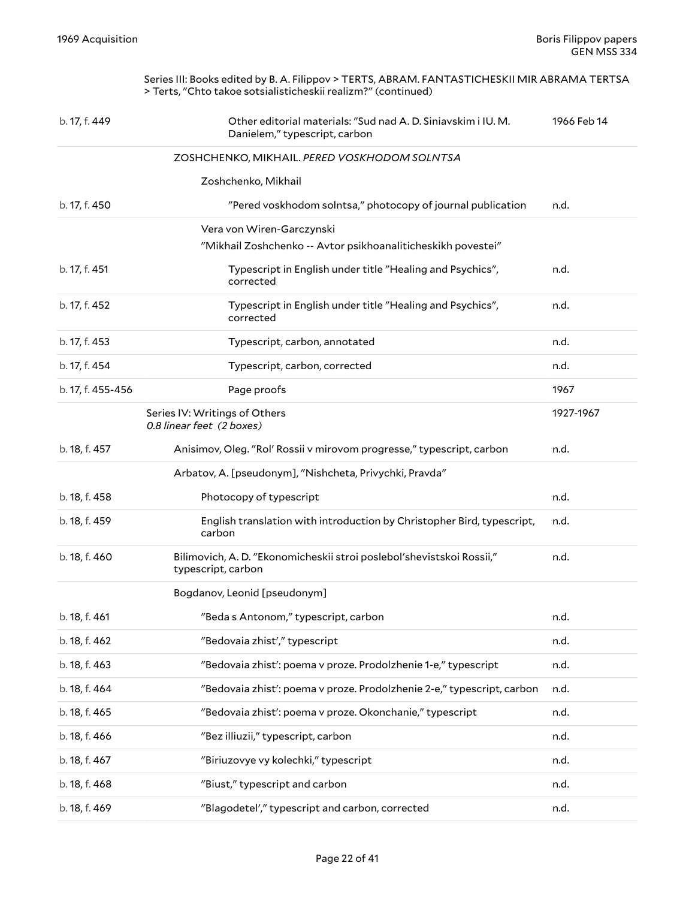<span id="page-21-3"></span><span id="page-21-2"></span><span id="page-21-1"></span><span id="page-21-0"></span>

|                   | Series III: Books edited by B. A. Filippov > TERTS, ABRAM. FANTASTICHESKII MIR ABRAMA TERTSA<br>> Terts, "Chto takoe sotsialisticheskii realizm?" (continued) |             |
|-------------------|---------------------------------------------------------------------------------------------------------------------------------------------------------------|-------------|
| b. 17, f. 449     | Other editorial materials: "Sud nad A. D. Siniavskim i IU. M.<br>Danielem," typescript, carbon                                                                | 1966 Feb 14 |
|                   | ZOSHCHENKO, MIKHAIL. PERED VOSKHODOM SOLNTSA                                                                                                                  |             |
|                   | Zoshchenko, Mikhail                                                                                                                                           |             |
| b. 17, f. 450     | "Pered voskhodom solntsa," photocopy of journal publication                                                                                                   | n.d.        |
|                   | Vera von Wiren-Garczynski                                                                                                                                     |             |
|                   | "Mikhail Zoshchenko -- Avtor psikhoanaliticheskikh povestei"                                                                                                  |             |
| b. 17, f. 451     | Typescript in English under title "Healing and Psychics",<br>corrected                                                                                        | n.d.        |
| b. 17, f. 452     | Typescript in English under title "Healing and Psychics",<br>corrected                                                                                        | n.d.        |
| b. 17, f. 453     | Typescript, carbon, annotated                                                                                                                                 | n.d.        |
| b. 17, f. 454     | Typescript, carbon, corrected                                                                                                                                 | n.d.        |
| b. 17, f. 455-456 | Page proofs                                                                                                                                                   | 1967        |
|                   | Series IV: Writings of Others<br>0.8 linear feet (2 boxes)                                                                                                    | 1927-1967   |
| b. 18, f. 457     | Anisimov, Oleg. "Rol' Rossii v mirovom progresse," typescript, carbon                                                                                         | n.d.        |
|                   | Arbatov, A. [pseudonym], "Nishcheta, Privychki, Pravda"                                                                                                       |             |
| b. 18, f. 458     | Photocopy of typescript                                                                                                                                       | n.d.        |
| b. 18, f. 459     | English translation with introduction by Christopher Bird, typescript,<br>carbon                                                                              | n.d.        |
| b. 18, f. 460     | Bilimovich, A.D. "Ekonomicheskii stroi poslebol'shevistskoi Rossii,"<br>typescript, carbon                                                                    | n.d.        |
|                   | Bogdanov, Leonid [pseudonym]                                                                                                                                  |             |
| b. 18, f. 461     | "Beda s Antonom," typescript, carbon                                                                                                                          | n.d.        |
| b. 18, f. 462     | "Bedovaia zhist'," typescript                                                                                                                                 | n.d.        |
| b. 18, f. 463     | "Bedovaia zhist': poema v proze. Prodolzhenie 1-e," typescript                                                                                                | n.d.        |
| b. 18, f. 464     | "Bedovaia zhist': poema v proze. Prodolzhenie 2-e," typescript, carbon                                                                                        | n.d.        |
| b. 18, f. 465     | "Bedovaia zhist': poema v proze. Okonchanie," typescript                                                                                                      | n.d.        |
| b. 18, f. 466     | "Bez illiuzii," typescript, carbon                                                                                                                            | n.d.        |
| b. 18, f. 467     | "Biriuzovye vy kolechki," typescript                                                                                                                          | n.d.        |
| b. 18, f. 468     | "Biust," typescript and carbon                                                                                                                                | n.d.        |
| b. 18, f. 469     | "Blagodetel'," typescript and carbon, corrected                                                                                                               | n.d.        |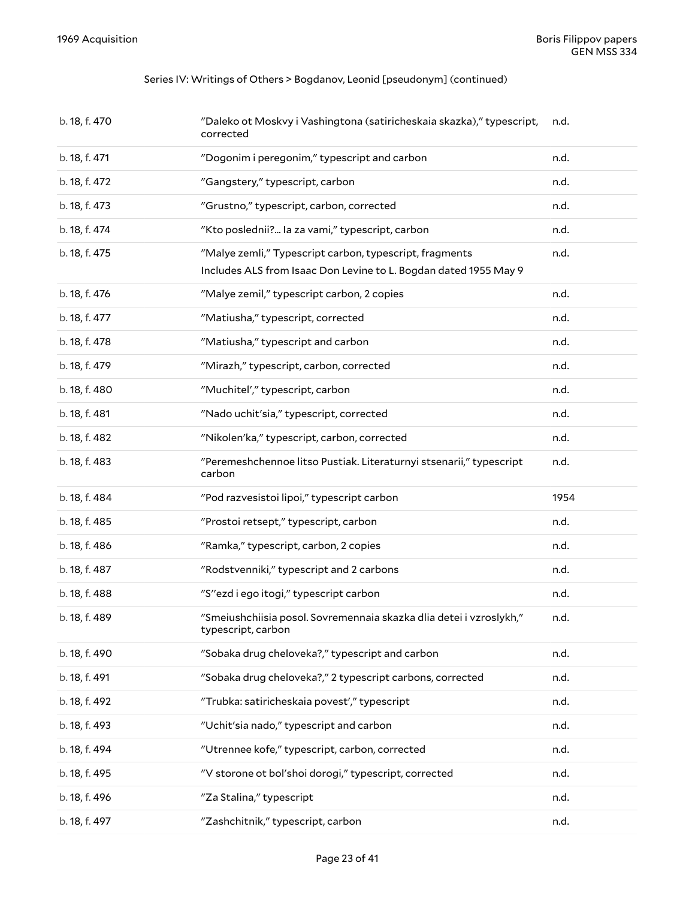#### Series IV: Writings of Others > Bogdanov, Leonid [pseudonym] (continued)

| b. 18, f. 470 | "Daleko ot Moskvy i Vashingtona (satiricheskaia skazka)," typescript,<br>corrected                                          | n.d. |
|---------------|-----------------------------------------------------------------------------------------------------------------------------|------|
| b. 18, f. 471 | "Dogonim i peregonim," typescript and carbon                                                                                | n.d. |
| b. 18, f. 472 | "Gangstery," typescript, carbon                                                                                             | n.d. |
| b. 18, f. 473 | "Grustno," typescript, carbon, corrected                                                                                    | n.d. |
| b. 18, f. 474 | "Kto poslednii? la za vami," typescript, carbon                                                                             | n.d. |
| b. 18, f. 475 | "Malye zemli," Typescript carbon, typescript, fragments<br>Includes ALS from Isaac Don Levine to L. Bogdan dated 1955 May 9 | n.d. |
| b. 18, f. 476 | "Malye zemil," typescript carbon, 2 copies                                                                                  | n.d. |
| b. 18, f. 477 | "Matiusha," typescript, corrected                                                                                           | n.d. |
| b. 18, f. 478 | "Matiusha," typescript and carbon                                                                                           | n.d. |
| b. 18, f. 479 | "Mirazh," typescript, carbon, corrected                                                                                     | n.d. |
| b. 18, f. 480 | "Muchitel'," typescript, carbon                                                                                             | n.d. |
| b. 18, f. 481 | "Nado uchit'sia," typescript, corrected                                                                                     | n.d. |
| b. 18, f. 482 | "Nikolen'ka," typescript, carbon, corrected                                                                                 | n.d. |
| b. 18, f. 483 | "Peremeshchennoe litso Pustiak. Literaturnyi stsenarii," typescript                                                         | n.d. |
|               | carbon                                                                                                                      |      |
| b. 18, f. 484 | "Pod razvesistoi lipoi," typescript carbon                                                                                  | 1954 |
| b. 18, f. 485 | "Prostoi retsept," typescript, carbon                                                                                       | n.d. |
| b. 18, f. 486 | "Ramka," typescript, carbon, 2 copies                                                                                       | n.d. |
| b. 18, f. 487 | "Rodstvenniki," typescript and 2 carbons                                                                                    | n.d. |
| b. 18, f. 488 | "S"ezd i ego itogi," typescript carbon                                                                                      | n.d. |
| b. 18, f. 489 | "Smeiushchiisia posol. Sovremennaia skazka dlia detei i vzroslykh,"<br>typescript, carbon                                   | n.d. |
| b. 18, f. 490 | "Sobaka drug cheloveka?," typescript and carbon                                                                             | n.d. |
| b. 18, f. 491 | "Sobaka drug cheloveka?," 2 typescript carbons, corrected                                                                   | n.d. |
| b. 18, f. 492 | "Trubka: satiricheskaia povest'," typescript                                                                                | n.d. |
| b. 18, f. 493 | "Uchit'sia nado," typescript and carbon                                                                                     | n.d. |
| b. 18, f. 494 | "Utrennee kofe," typescript, carbon, corrected                                                                              | n.d. |
| b. 18, f. 495 | "V storone ot bol'shoi dorogi," typescript, corrected                                                                       | n.d. |
| b. 18, f. 496 | "Za Stalina," typescript                                                                                                    | n.d. |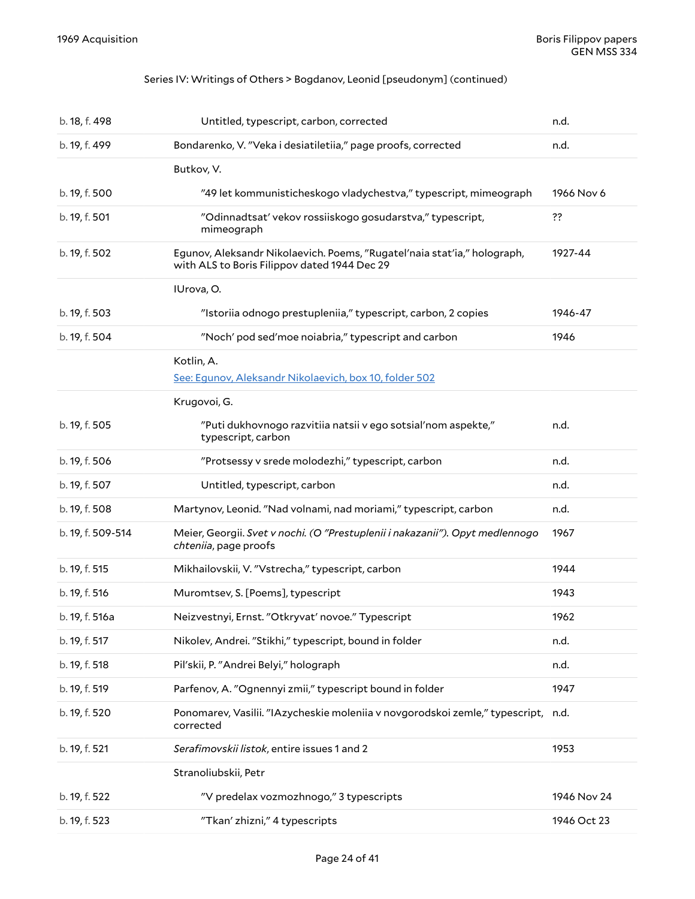### Series IV: Writings of Others > Bogdanov, Leonid [pseudonym] (continued)

<span id="page-23-0"></span>

| b. 18, f. 498     | Untitled, typescript, carbon, corrected                                                                                  | n.d.        |
|-------------------|--------------------------------------------------------------------------------------------------------------------------|-------------|
| b. 19, f. 499     | Bondarenko, V. "Veka i desiatiletiia," page proofs, corrected                                                            | n.d.        |
|                   | Butkov, V.                                                                                                               |             |
| b. 19, f. 500     | "49 let kommunisticheskogo vladychestva," typescript, mimeograph                                                         | 1966 Nov 6  |
| b. 19, f. 501     | "Odinnadtsat' vekov rossiiskogo gosudarstva," typescript,<br>mimeograph                                                  | ??          |
| b. 19, f. 502     | Egunov, Aleksandr Nikolaevich. Poems, "Rugatel'naia stat'ia," holograph,<br>with ALS to Boris Filippov dated 1944 Dec 29 | 1927-44     |
|                   | IUrova, O.                                                                                                               |             |
| b. 19, f. 503     | "Istoriia odnogo prestupleniia," typescript, carbon, 2 copies                                                            | 1946-47     |
| b. 19, f. 504     | "Noch' pod sed'moe noiabria," typescript and carbon                                                                      | 1946        |
|                   | Kotlin, A.<br>See: Egunov, Aleksandr Nikolaevich, box 10, folder 502                                                     |             |
|                   | Krugovoi, G.                                                                                                             |             |
| b. 19, f. 505     | "Puti dukhovnogo razvitiia natsii v ego sotsial'nom aspekte,"<br>typescript, carbon                                      | n.d.        |
| b. 19, f. 506     | "Protsessy v srede molodezhi," typescript, carbon                                                                        | n.d.        |
| b. 19, f. 507     | Untitled, typescript, carbon                                                                                             | n.d.        |
| b. 19, f. 508     | Martynov, Leonid. "Nad volnami, nad moriami," typescript, carbon                                                         | n.d.        |
| b. 19, f. 509-514 | Meier, Georgii. Svet v nochi. (O "Prestuplenii i nakazanii"). Opyt medlennogo<br>chteniia, page proofs                   | 1967        |
| b. 19, f. 515     | Mikhailovskii, V. "Vstrecha," typescript, carbon                                                                         | 1944        |
| b. 19, f. 516     | Muromtsev, S. [Poems], typescript                                                                                        | 1943        |
| b. 19, f. 516a    | Neizvestnyi, Ernst. "Otkryvat' novoe." Typescript                                                                        | 1962        |
| b. 19, f. 517     | Nikolev, Andrei. "Stikhi," typescript, bound in folder                                                                   | n.d.        |
| b. 19, f. 518     | Pil'skii, P. "Andrei Belyi," holograph                                                                                   | n.d.        |
| b. 19, f. 519     | Parfenov, A. "Ognennyi zmii," typescript bound in folder                                                                 | 1947        |
| b. 19, f. 520     | Ponomarev, Vasilii. "IAzycheskie moleniia v novgorodskoi zemle," typescript,<br>corrected                                | n.d.        |
| b. 19, f. 521     | Serafimovskii listok, entire issues 1 and 2                                                                              | 1953        |
|                   | Stranoliubskii, Petr                                                                                                     |             |
| b. 19, f. 522     | "V predelax vozmozhnogo," 3 typescripts                                                                                  | 1946 Nov 24 |
| b. 19, f. 523     | "Tkan' zhizni," 4 typescripts                                                                                            | 1946 Oct 23 |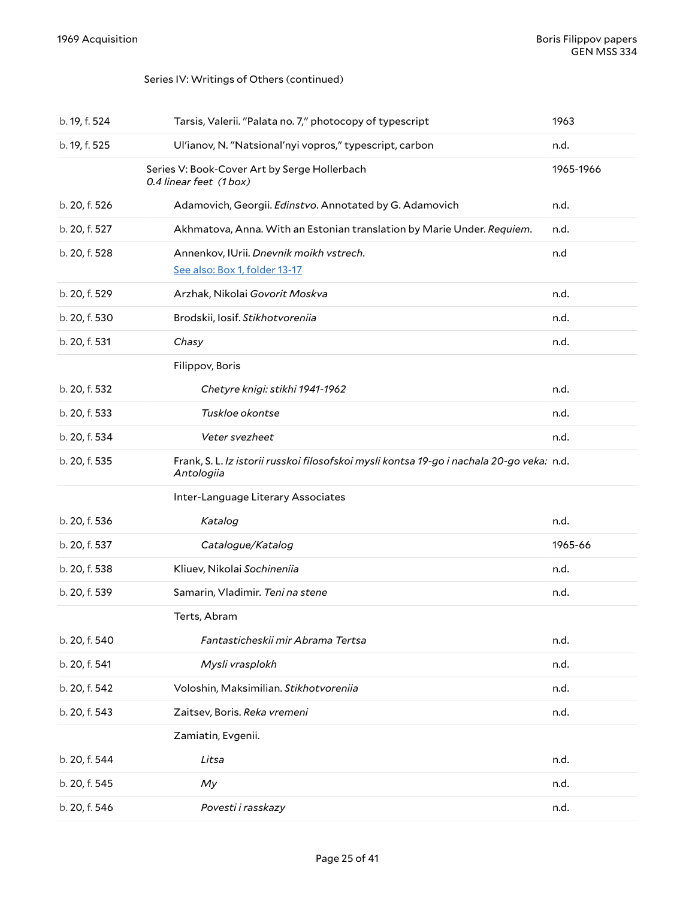### <span id="page-24-0"></span>Series IV: Writings of Others (continued)

<span id="page-24-1"></span>

| b. 19, f. 524 | Tarsis, Valerii. "Palata no. 7," photocopy of typescript                                                | 1963      |
|---------------|---------------------------------------------------------------------------------------------------------|-----------|
| b. 19, f. 525 | Ul'ianov, N. "Natsional'nyi vopros," typescript, carbon                                                 | n.d.      |
|               | Series V: Book-Cover Art by Serge Hollerbach<br>0.4 linear feet (1 box)                                 | 1965-1966 |
| b. 20, f. 526 | Adamovich, Georgii. Edinstvo. Annotated by G. Adamovich                                                 | n.d.      |
| b. 20, f. 527 | Akhmatova, Anna. With an Estonian translation by Marie Under. Requiem.                                  | n.d.      |
| b. 20, f. 528 | Annenkov, IUrii. Dnevnik moikh vstrech.                                                                 | n.d       |
|               | See also: Box 1, folder 13-17                                                                           |           |
| b. 20, f. 529 | Arzhak, Nikolai Govorit Moskva                                                                          | n.d.      |
| b. 20, f. 530 | Brodskii, Iosif. Stikhotvoreniia                                                                        | n.d.      |
| b. 20, f. 531 | Chasy                                                                                                   | n.d.      |
|               | Filippov, Boris                                                                                         |           |
| b. 20, f. 532 | Chetyre knigi: stikhi 1941-1962                                                                         | n.d.      |
| b. 20, f. 533 | Tuskloe okontse                                                                                         | n.d.      |
| b. 20, f. 534 | Veter svezheet                                                                                          | n.d.      |
| b. 20, f. 535 | Frank, S. L. Iz istorii russkoi filosofskoi mysli kontsa 19-go i nachala 20-go veka: n.d.<br>Antologiia |           |
|               | Inter-Language Literary Associates                                                                      |           |
| b. 20, f. 536 | Katalog                                                                                                 | n.d.      |
| b. 20, f. 537 | Catalogue/Katalog                                                                                       | 1965-66   |
| b. 20, f. 538 | Kliuev, Nikolai Sochineniia                                                                             | n.d.      |
| b. 20, f. 539 | Samarin, Vladimir. Teni na stene                                                                        | n.d.      |
|               | Terts, Abram                                                                                            |           |
| b. 20, f. 540 | Fantasticheskii mir Abrama Tertsa                                                                       | n.d.      |
| b. 20, f. 541 | Mysli vrasplokh                                                                                         | n.d.      |
| b. 20, f. 542 | Voloshin, Maksimilian. Stikhotvoreniia                                                                  | n.d.      |
| b. 20, f. 543 | Zaitsev, Boris. Reka vremeni                                                                            | n.d.      |
|               | Zamiatin, Evgenii.                                                                                      |           |
| b. 20, f. 544 | Litsa                                                                                                   | n.d.      |
| b. 20, f. 545 | My                                                                                                      | n.d.      |
| b. 20, f. 546 | Povesti i rasskazy                                                                                      | n.d.      |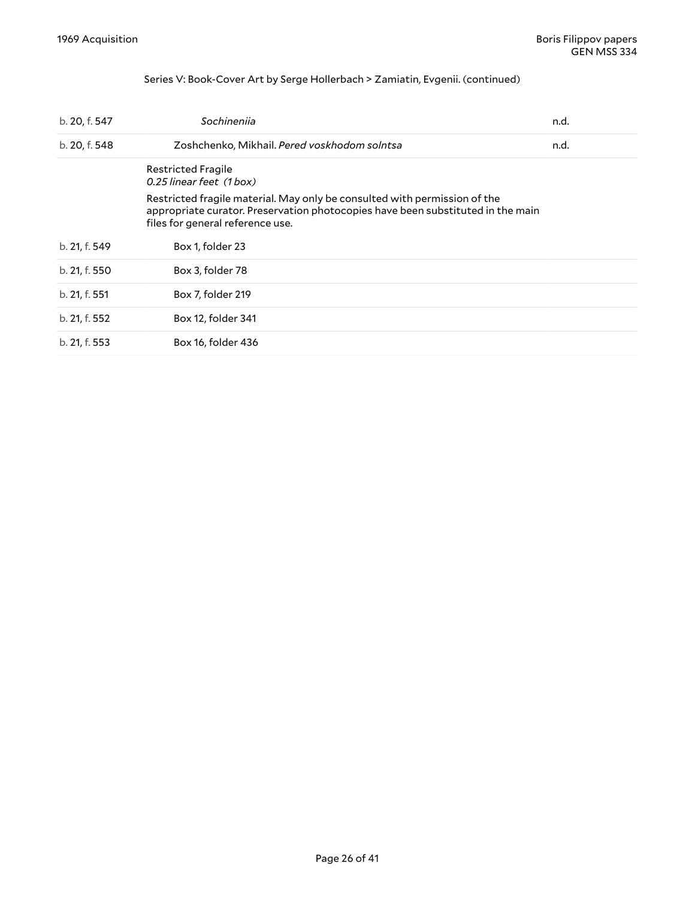#### <span id="page-25-0"></span>Series V: Book-Cover Art by Serge Hollerbach > Zamiatin, Evgenii. (continued)

| b. 20, f. 547 | Sochineniia                                                                                                                                                                                      | n.d. |
|---------------|--------------------------------------------------------------------------------------------------------------------------------------------------------------------------------------------------|------|
| b. 20, f. 548 | Zoshchenko, Mikhail. Pered voskhodom solntsa                                                                                                                                                     | n.d. |
|               | <b>Restricted Fragile</b><br>0.25 linear feet (1box)                                                                                                                                             |      |
|               | Restricted fragile material. May only be consulted with permission of the<br>appropriate curator. Preservation photocopies have been substituted in the main<br>files for general reference use. |      |
| b. 21, f. 549 | Box 1, folder 23                                                                                                                                                                                 |      |
| b. 21, f. 550 | Box 3, folder 78                                                                                                                                                                                 |      |
| b. 21, f. 551 | Box 7, folder 219                                                                                                                                                                                |      |
| b. 21, f. 552 | Box 12, folder 341                                                                                                                                                                               |      |
| b. 21, f. 553 | Box 16, folder 436                                                                                                                                                                               |      |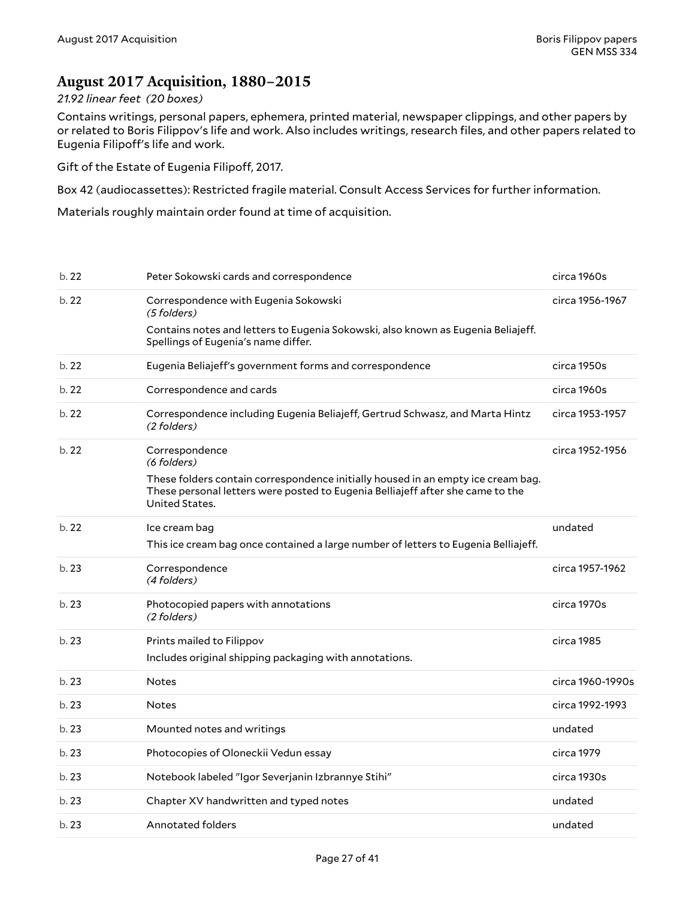### <span id="page-26-0"></span>**August 2017 Acquisition, 1880–2015**

#### *21.92 linear feet (20 boxes)*

Contains writings, personal papers, ephemera, printed material, newspaper clippings, and other papers by or related to Boris Filippov's life and work. Also includes writings, research files, and other papers related to Eugenia Filipoff's life and work.

Gift of the Estate of Eugenia Filipoff, 2017.

Box 42 (audiocassettes): Restricted fragile material. Consult Access Services for further information.

Materials roughly maintain order found at time of acquisition.

| b.22 | Peter Sokowski cards and correspondence                                                                                                                                              | circa 1960s      |
|------|--------------------------------------------------------------------------------------------------------------------------------------------------------------------------------------|------------------|
| b.22 | Correspondence with Eugenia Sokowski<br>(5 folders)                                                                                                                                  | circa 1956-1967  |
|      | Contains notes and letters to Eugenia Sokowski, also known as Eugenia Beliajeff.<br>Spellings of Eugenia's name differ.                                                              |                  |
| b.22 | Eugenia Beliajeff's government forms and correspondence                                                                                                                              | circa 1950s      |
| b.22 | Correspondence and cards                                                                                                                                                             | circa 1960s      |
| b.22 | Correspondence including Eugenia Beliajeff, Gertrud Schwasz, and Marta Hintz<br>(2 folders)                                                                                          | circa 1953-1957  |
| b.22 | Correspondence<br>(6 folders)                                                                                                                                                        | circa 1952-1956  |
|      | These folders contain correspondence initially housed in an empty ice cream bag.<br>These personal letters were posted to Eugenia Belliajeff after she came to the<br>United States. |                  |
| b.22 | Ice cream bag                                                                                                                                                                        | undated          |
|      | This ice cream bag once contained a large number of letters to Eugenia Belliajeff.                                                                                                   |                  |
| b.23 | Correspondence<br>(4 folders)                                                                                                                                                        | circa 1957-1962  |
| b.23 | Photocopied papers with annotations<br>(2 folders)                                                                                                                                   | circa 1970s      |
| b.23 | Prints mailed to Filippov<br>Includes original shipping packaging with annotations.                                                                                                  | circa 1985       |
| b.23 | <b>Notes</b>                                                                                                                                                                         | circa 1960-1990s |
| b.23 | <b>Notes</b>                                                                                                                                                                         | circa 1992-1993  |
| b.23 | Mounted notes and writings                                                                                                                                                           | undated          |
| b.23 | Photocopies of Oloneckii Vedun essay                                                                                                                                                 | circa 1979       |
| b.23 | Notebook labeled "Igor Severjanin Izbrannye Stihi"                                                                                                                                   | circa 1930s      |
| b.23 | Chapter XV handwritten and typed notes                                                                                                                                               | undated          |
| b.23 | <b>Annotated folders</b>                                                                                                                                                             | undated          |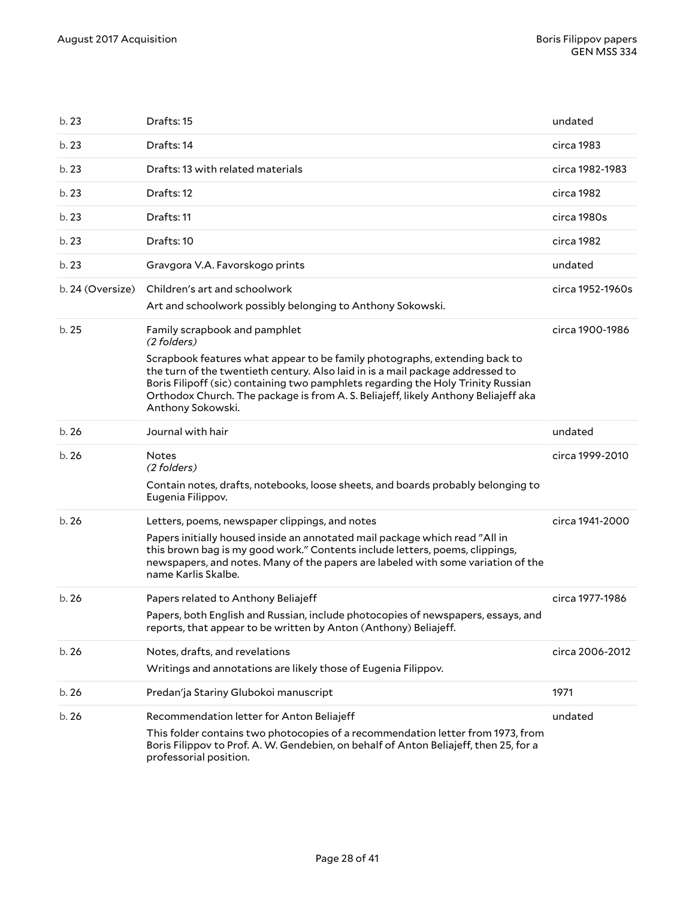| b. 23            | Drafts: 15                                                                                                                                                                                                                                                                                                                                                                                                  | undated          |
|------------------|-------------------------------------------------------------------------------------------------------------------------------------------------------------------------------------------------------------------------------------------------------------------------------------------------------------------------------------------------------------------------------------------------------------|------------------|
| b.23             | Drafts: 14                                                                                                                                                                                                                                                                                                                                                                                                  | circa 1983       |
| b.23             | Drafts: 13 with related materials                                                                                                                                                                                                                                                                                                                                                                           | circa 1982-1983  |
| b.23             | Drafts: 12                                                                                                                                                                                                                                                                                                                                                                                                  | circa 1982       |
| b.23             | Drafts: 11                                                                                                                                                                                                                                                                                                                                                                                                  | circa 1980s      |
| b.23             | Drafts: 10                                                                                                                                                                                                                                                                                                                                                                                                  | circa 1982       |
| b.23             | Gravgora V.A. Favorskogo prints                                                                                                                                                                                                                                                                                                                                                                             | undated          |
| b. 24 (Oversize) | Children's art and schoolwork<br>Art and schoolwork possibly belonging to Anthony Sokowski.                                                                                                                                                                                                                                                                                                                 | circa 1952-1960s |
| b. 25            | Family scrapbook and pamphlet<br>(2 folders)<br>Scrapbook features what appear to be family photographs, extending back to<br>the turn of the twentieth century. Also laid in is a mail package addressed to<br>Boris Filipoff (sic) containing two pamphlets regarding the Holy Trinity Russian<br>Orthodox Church. The package is from A. S. Beliajeff, likely Anthony Beliajeff aka<br>Anthony Sokowski. | circa 1900-1986  |
| b.26             | Journal with hair                                                                                                                                                                                                                                                                                                                                                                                           | undated          |
|                  |                                                                                                                                                                                                                                                                                                                                                                                                             |                  |
| b.26             | <b>Notes</b><br>(2 folders)<br>Contain notes, drafts, notebooks, loose sheets, and boards probably belonging to                                                                                                                                                                                                                                                                                             | circa 1999-2010  |
|                  | Eugenia Filippov.                                                                                                                                                                                                                                                                                                                                                                                           |                  |
| b.26             | Letters, poems, newspaper clippings, and notes<br>Papers initially housed inside an annotated mail package which read "All in<br>this brown bag is my good work." Contents include letters, poems, clippings,<br>newspapers, and notes. Many of the papers are labeled with some variation of the<br>name Karlis Skalbe.                                                                                    | circa 1941-2000  |
| b.26             | Papers related to Anthony Beliajeff<br>Papers, both English and Russian, include photocopies of newspapers, essays, and<br>reports, that appear to be written by Anton (Anthony) Beliajeff.                                                                                                                                                                                                                 | circa 1977-1986  |
| b.26             | Notes, drafts, and revelations<br>Writings and annotations are likely those of Eugenia Filippov.                                                                                                                                                                                                                                                                                                            | circa 2006-2012  |
| b.26             | Predan'ja Stariny Glubokoi manuscript                                                                                                                                                                                                                                                                                                                                                                       | 1971             |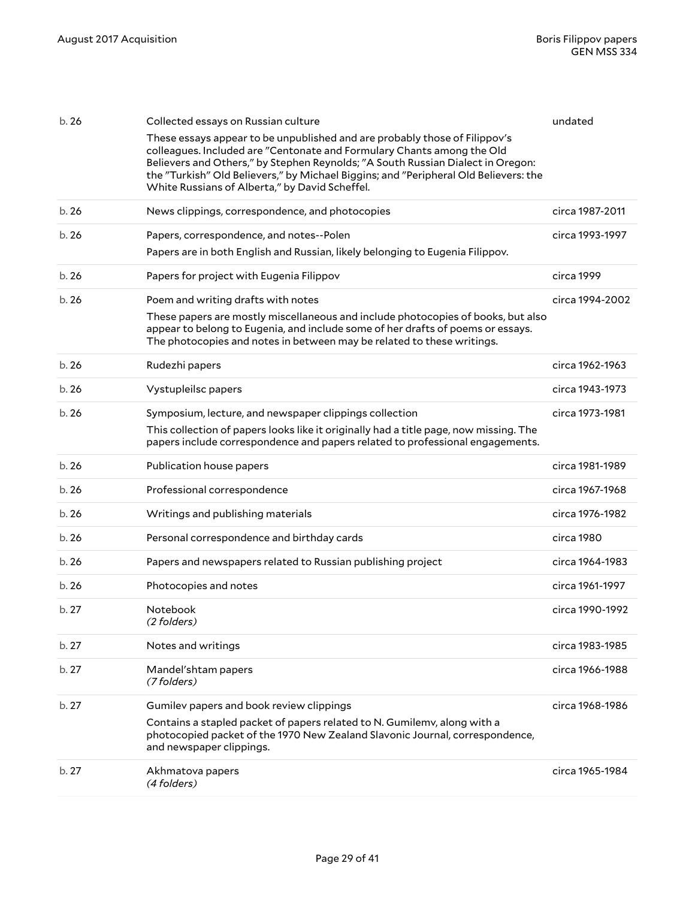| b.26  | Collected essays on Russian culture<br>These essays appear to be unpublished and are probably those of Filippov's                                                                                                                                                                                   | undated         |
|-------|-----------------------------------------------------------------------------------------------------------------------------------------------------------------------------------------------------------------------------------------------------------------------------------------------------|-----------------|
|       | colleagues. Included are "Centonate and Formulary Chants among the Old<br>Believers and Others," by Stephen Reynolds; "A South Russian Dialect in Oregon:<br>the "Turkish" Old Believers," by Michael Biggins; and "Peripheral Old Believers: the<br>White Russians of Alberta," by David Scheffel. |                 |
| b.26  | News clippings, correspondence, and photocopies                                                                                                                                                                                                                                                     | circa 1987-2011 |
| b. 26 | Papers, correspondence, and notes--Polen<br>Papers are in both English and Russian, likely belonging to Eugenia Filippov.                                                                                                                                                                           | circa 1993-1997 |
| b.26  | Papers for project with Eugenia Filippov                                                                                                                                                                                                                                                            | circa 1999      |
| b.26  | Poem and writing drafts with notes<br>These papers are mostly miscellaneous and include photocopies of books, but also<br>appear to belong to Eugenia, and include some of her drafts of poems or essays.<br>The photocopies and notes in between may be related to these writings.                 | circa 1994-2002 |
| b.26  | Rudezhi papers                                                                                                                                                                                                                                                                                      | circa 1962-1963 |
| b.26  | Vystupleilsc papers                                                                                                                                                                                                                                                                                 | circa 1943-1973 |
| b.26  | Symposium, lecture, and newspaper clippings collection<br>This collection of papers looks like it originally had a title page, now missing. The<br>papers include correspondence and papers related to professional engagements.                                                                    | circa 1973-1981 |
| b.26  | Publication house papers                                                                                                                                                                                                                                                                            | circa 1981-1989 |
| b.26  | Professional correspondence                                                                                                                                                                                                                                                                         | circa 1967-1968 |
| b.26  | Writings and publishing materials                                                                                                                                                                                                                                                                   | circa 1976-1982 |
| b.26  | Personal correspondence and birthday cards                                                                                                                                                                                                                                                          | circa 1980      |
| b.26  | Papers and newspapers related to Russian publishing project                                                                                                                                                                                                                                         | circa 1964-1983 |
| b. 26 | Photocopies and notes                                                                                                                                                                                                                                                                               | circa 1961-1997 |
| b. 27 | Notebook<br>(2 folders)                                                                                                                                                                                                                                                                             | circa 1990-1992 |
| b.27  | Notes and writings                                                                                                                                                                                                                                                                                  | circa 1983-1985 |
| b.27  | Mandel'shtam papers<br>(7 folders)                                                                                                                                                                                                                                                                  | circa 1966-1988 |
| b.27  | Gumilev papers and book review clippings<br>Contains a stapled packet of papers related to N. Gumilemv, along with a                                                                                                                                                                                | circa 1968-1986 |
|       | photocopied packet of the 1970 New Zealand Slavonic Journal, correspondence,<br>and newspaper clippings.                                                                                                                                                                                            |                 |
| b.27  | Akhmatova papers<br>(4 folders)                                                                                                                                                                                                                                                                     | circa 1965-1984 |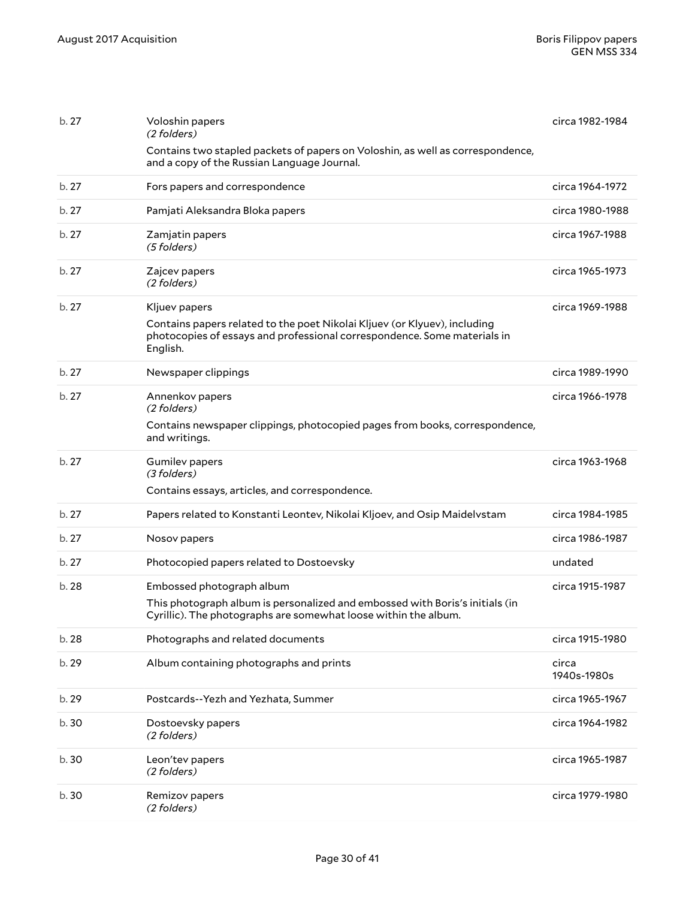| b. 27 | Voloshin papers<br>(2 folders)                                                                                                                                                     | circa 1982-1984      |
|-------|------------------------------------------------------------------------------------------------------------------------------------------------------------------------------------|----------------------|
|       | Contains two stapled packets of papers on Voloshin, as well as correspondence,<br>and a copy of the Russian Language Journal.                                                      |                      |
| b.27  | Fors papers and correspondence                                                                                                                                                     | circa 1964-1972      |
| b.27  | Pamjati Aleksandra Bloka papers                                                                                                                                                    | circa 1980-1988      |
| b.27  | Zamjatin papers<br>(5 folders)                                                                                                                                                     | circa 1967-1988      |
| b. 27 | Zajcev papers<br>(2 folders)                                                                                                                                                       | circa 1965-1973      |
| b.27  | Kljuev papers<br>Contains papers related to the poet Nikolai Kljuev (or Klyuev), including<br>photocopies of essays and professional correspondence. Some materials in<br>English. | circa 1969-1988      |
| b.27  | Newspaper clippings                                                                                                                                                                | circa 1989-1990      |
| b.27  | Annenkov papers<br>(2 folders)                                                                                                                                                     | circa 1966-1978      |
|       | Contains newspaper clippings, photocopied pages from books, correspondence,<br>and writings.                                                                                       |                      |
| b.27  | <b>Gumilev papers</b><br>(3 folders)                                                                                                                                               | circa 1963-1968      |
|       | Contains essays, articles, and correspondence.                                                                                                                                     |                      |
| b.27  | Papers related to Konstanti Leontev, Nikolai Kljoev, and Osip Maidelvstam                                                                                                          | circa 1984-1985      |
| b.27  | Nosov papers                                                                                                                                                                       | circa 1986-1987      |
| b.27  | Photocopied papers related to Dostoevsky                                                                                                                                           | undated              |
| b.28  | Embossed photograph album<br>This photograph album is personalized and embossed with Boris's initials (in                                                                          | circa 1915-1987      |
|       | Cyrillic). The photographs are somewhat loose within the album.                                                                                                                    |                      |
| b.28  | Photographs and related documents                                                                                                                                                  | circa 1915-1980      |
| b. 29 | Album containing photographs and prints                                                                                                                                            | circa<br>1940s-1980s |
| b. 29 | Postcards--Yezh and Yezhata, Summer                                                                                                                                                | circa 1965-1967      |
| b. 30 | Dostoevsky papers<br>(2 folders)                                                                                                                                                   | circa 1964-1982      |
| b.30  | Leon'tev papers<br>(2 folders)                                                                                                                                                     | circa 1965-1987      |
| b.30  | Remizov papers<br>(2 folders)                                                                                                                                                      | circa 1979-1980      |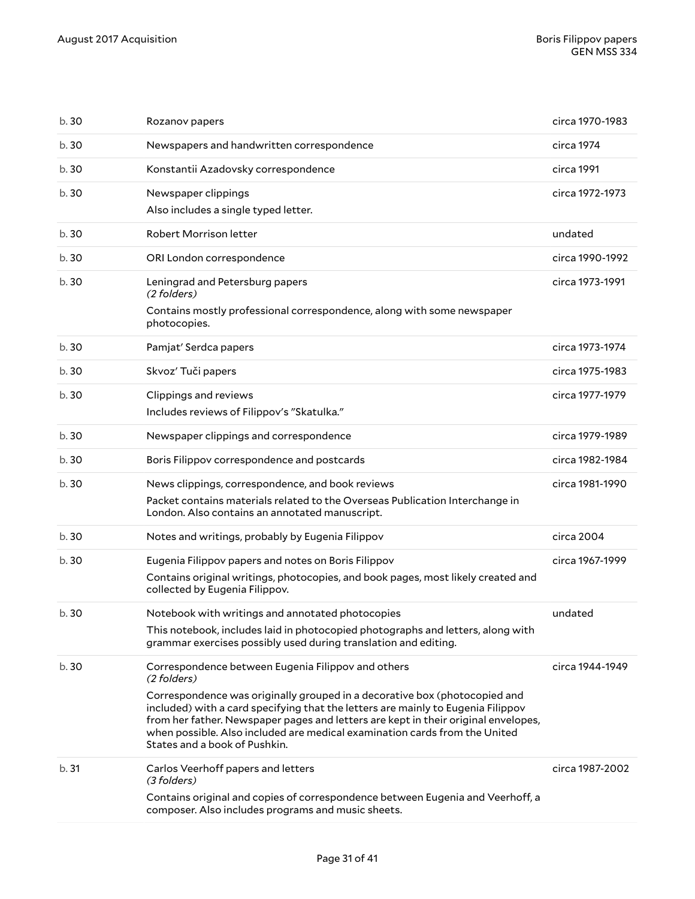| b.30  | Rozanov papers                                                                                                                                                                                                                                                                                                                                                                                                                           | circa 1970-1983 |
|-------|------------------------------------------------------------------------------------------------------------------------------------------------------------------------------------------------------------------------------------------------------------------------------------------------------------------------------------------------------------------------------------------------------------------------------------------|-----------------|
| b.30  | Newspapers and handwritten correspondence                                                                                                                                                                                                                                                                                                                                                                                                | circa 1974      |
| b.30  | Konstantii Azadovsky correspondence                                                                                                                                                                                                                                                                                                                                                                                                      | circa 1991      |
| b.30  | Newspaper clippings<br>Also includes a single typed letter.                                                                                                                                                                                                                                                                                                                                                                              | circa 1972-1973 |
| b.30  | Robert Morrison letter                                                                                                                                                                                                                                                                                                                                                                                                                   | undated         |
| b.30  | ORI London correspondence                                                                                                                                                                                                                                                                                                                                                                                                                | circa 1990-1992 |
| b. 30 | Leningrad and Petersburg papers<br>(2 folders)<br>Contains mostly professional correspondence, along with some newspaper<br>photocopies.                                                                                                                                                                                                                                                                                                 | circa 1973-1991 |
| b.30  | Pamjat' Serdca papers                                                                                                                                                                                                                                                                                                                                                                                                                    | circa 1973-1974 |
| b.30  | Skvoz' Tuči papers                                                                                                                                                                                                                                                                                                                                                                                                                       | circa 1975-1983 |
| b.30  | Clippings and reviews<br>Includes reviews of Filippov's "Skatulka."                                                                                                                                                                                                                                                                                                                                                                      | circa 1977-1979 |
| b.30  | Newspaper clippings and correspondence                                                                                                                                                                                                                                                                                                                                                                                                   | circa 1979-1989 |
| b.30  | Boris Filippov correspondence and postcards                                                                                                                                                                                                                                                                                                                                                                                              | circa 1982-1984 |
| b.30  | News clippings, correspondence, and book reviews<br>Packet contains materials related to the Overseas Publication Interchange in<br>London. Also contains an annotated manuscript.                                                                                                                                                                                                                                                       | circa 1981-1990 |
| b.30  | Notes and writings, probably by Eugenia Filippov                                                                                                                                                                                                                                                                                                                                                                                         | circa 2004      |
| b.30  | Eugenia Filippov papers and notes on Boris Filippov<br>Contains original writings, photocopies, and book pages, most likely created and<br>collected by Eugenia Filippov.                                                                                                                                                                                                                                                                | circa 1967-1999 |
| b.30  | Notebook with writings and annotated photocopies<br>This notebook, includes laid in photocopied photographs and letters, along with<br>grammar exercises possibly used during translation and editing.                                                                                                                                                                                                                                   | undated         |
| b.30  | Correspondence between Eugenia Filippov and others<br>(2 folders)<br>Correspondence was originally grouped in a decorative box (photocopied and<br>included) with a card specifying that the letters are mainly to Eugenia Filippov<br>from her father. Newspaper pages and letters are kept in their original envelopes,<br>when possible. Also included are medical examination cards from the United<br>States and a book of Pushkin. | circa 1944-1949 |
| b.31  | Carlos Veerhoff papers and letters<br>(3 folders)<br>Contains original and copies of correspondence between Eugenia and Veerhoff, a<br>composer. Also includes programs and music sheets.                                                                                                                                                                                                                                                | circa 1987-2002 |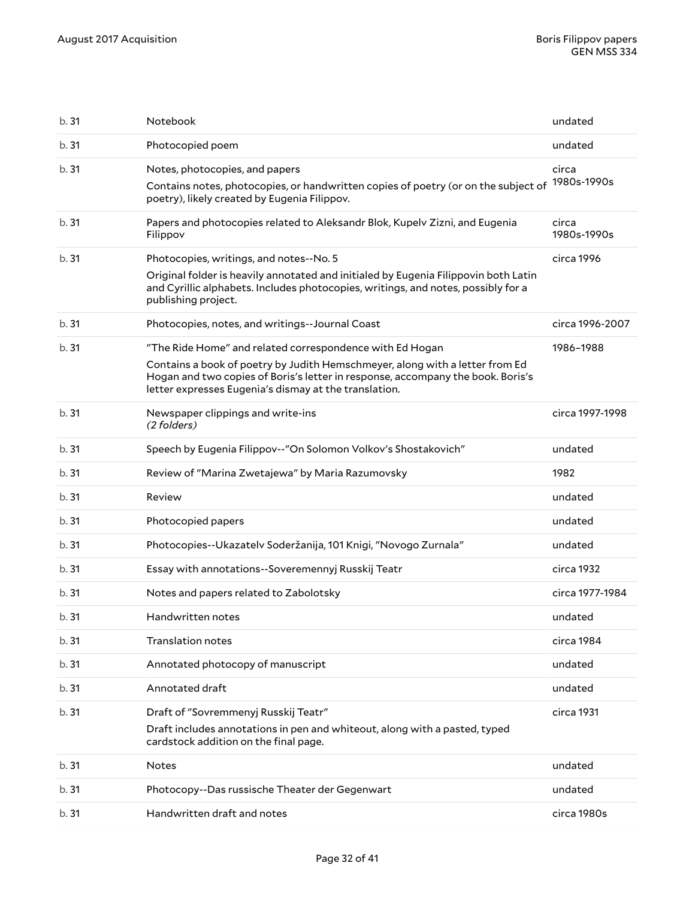| b. 31 | Notebook                                                                                                                                                                                                                                                                             | undated              |
|-------|--------------------------------------------------------------------------------------------------------------------------------------------------------------------------------------------------------------------------------------------------------------------------------------|----------------------|
| b. 31 | Photocopied poem                                                                                                                                                                                                                                                                     | undated              |
| b. 31 | Notes, photocopies, and papers<br>Contains notes, photocopies, or handwritten copies of poetry (or on the subject of<br>poetry), likely created by Eugenia Filippov.                                                                                                                 | circa<br>1980s-1990s |
| b. 31 | Papers and photocopies related to Aleksandr Blok, Kupelv Zizni, and Eugenia<br>Filippov                                                                                                                                                                                              | circa<br>1980s-1990s |
| b. 31 | Photocopies, writings, and notes--No. 5<br>Original folder is heavily annotated and initialed by Eugenia Filippovin both Latin<br>and Cyrillic alphabets. Includes photocopies, writings, and notes, possibly for a<br>publishing project.                                           | circa 1996           |
| b. 31 | Photocopies, notes, and writings--Journal Coast                                                                                                                                                                                                                                      | circa 1996-2007      |
| b.31  | "The Ride Home" and related correspondence with Ed Hogan<br>Contains a book of poetry by Judith Hemschmeyer, along with a letter from Ed<br>Hogan and two copies of Boris's letter in response, accompany the book. Boris's<br>letter expresses Eugenia's dismay at the translation. | 1986-1988            |
| b. 31 | Newspaper clippings and write-ins<br>(2 folders)                                                                                                                                                                                                                                     | circa 1997-1998      |
| b. 31 | Speech by Eugenia Filippov--"On Solomon Volkov's Shostakovich"                                                                                                                                                                                                                       | undated              |
| b. 31 | Review of "Marina Zwetajewa" by Maria Razumovsky                                                                                                                                                                                                                                     | 1982                 |
| b.31  | Review                                                                                                                                                                                                                                                                               | undated              |
| b. 31 | Photocopied papers                                                                                                                                                                                                                                                                   | undated              |
| b. 31 | Photocopies--Ukazatelv Soderžanija, 101 Knigi, "Novogo Zurnala"                                                                                                                                                                                                                      | undated              |
| b. 31 | Essay with annotations--Soveremennyj Russkij Teatr                                                                                                                                                                                                                                   | circa 1932           |
| b. 31 | Notes and papers related to Zabolotsky                                                                                                                                                                                                                                               | circa 1977-1984      |
| b.31  | Handwritten notes                                                                                                                                                                                                                                                                    | undated              |
| b. 31 | <b>Translation notes</b>                                                                                                                                                                                                                                                             | circa 1984           |
| b.31  | Annotated photocopy of manuscript                                                                                                                                                                                                                                                    | undated              |
| b.31  | Annotated draft                                                                                                                                                                                                                                                                      | undated              |
| b.31  | Draft of "Sovremmenyj Russkij Teatr"<br>Draft includes annotations in pen and whiteout, along with a pasted, typed<br>cardstock addition on the final page.                                                                                                                          | circa 1931           |
| b.31  | <b>Notes</b>                                                                                                                                                                                                                                                                         | undated              |
| b.31  | Photocopy--Das russische Theater der Gegenwart                                                                                                                                                                                                                                       | undated              |
| b.31  | Handwritten draft and notes                                                                                                                                                                                                                                                          | circa 1980s          |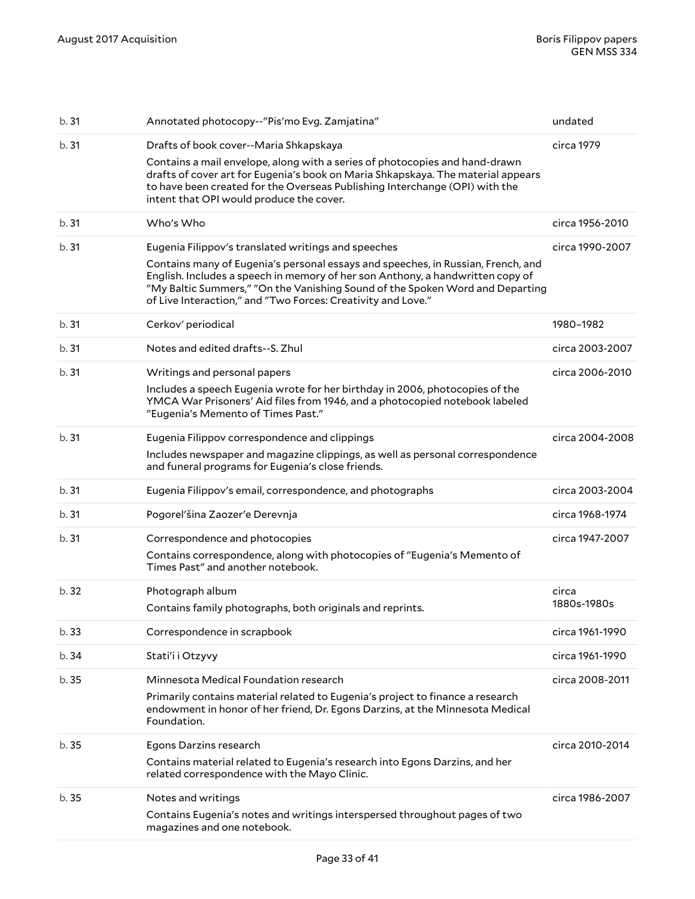| b.31  | Annotated photocopy--"Pis'mo Evg. Zamjatina"                                                                                                                                                                                                                                                                                                                               | undated              |
|-------|----------------------------------------------------------------------------------------------------------------------------------------------------------------------------------------------------------------------------------------------------------------------------------------------------------------------------------------------------------------------------|----------------------|
| b.31  | Drafts of book cover--Maria Shkapskaya<br>Contains a mail envelope, along with a series of photocopies and hand-drawn<br>drafts of cover art for Eugenia's book on Maria Shkapskaya. The material appears<br>to have been created for the Overseas Publishing Interchange (OPI) with the<br>intent that OPI would produce the cover.                                       | circa 1979           |
| b.31  | Who's Who                                                                                                                                                                                                                                                                                                                                                                  | circa 1956-2010      |
| b.31  | Eugenia Filippov's translated writings and speeches<br>Contains many of Eugenia's personal essays and speeches, in Russian, French, and<br>English. Includes a speech in memory of her son Anthony, a handwritten copy of<br>"My Baltic Summers," "On the Vanishing Sound of the Spoken Word and Departing<br>of Live Interaction," and "Two Forces: Creativity and Love." | circa 1990-2007      |
| b.31  | Cerkov' periodical                                                                                                                                                                                                                                                                                                                                                         | 1980-1982            |
| b.31  | Notes and edited drafts--S. Zhul                                                                                                                                                                                                                                                                                                                                           | circa 2003-2007      |
| b.31  | Writings and personal papers<br>Includes a speech Eugenia wrote for her birthday in 2006, photocopies of the<br>YMCA War Prisoners' Aid files from 1946, and a photocopied notebook labeled<br>"Eugenia's Memento of Times Past."                                                                                                                                          | circa 2006-2010      |
| b.31  | Eugenia Filippov correspondence and clippings<br>Includes newspaper and magazine clippings, as well as personal correspondence<br>and funeral programs for Eugenia's close friends.                                                                                                                                                                                        | circa 2004-2008      |
|       |                                                                                                                                                                                                                                                                                                                                                                            |                      |
| b.31  | Eugenia Filippov's email, correspondence, and photographs                                                                                                                                                                                                                                                                                                                  | circa 2003-2004      |
| b.31  | Pogorel'šina Zaozer'e Derevnja                                                                                                                                                                                                                                                                                                                                             | circa 1968-1974      |
| b.31  | Correspondence and photocopies<br>Contains correspondence, along with photocopies of "Eugenia's Memento of<br>Times Past" and another notebook.                                                                                                                                                                                                                            | circa 1947-2007      |
| b. 32 | Photograph album<br>Contains family photographs, both originals and reprints.                                                                                                                                                                                                                                                                                              | circa<br>1880s-1980s |
| b.33  | Correspondence in scrapbook                                                                                                                                                                                                                                                                                                                                                | circa 1961-1990      |
| b.34  | Stati'i i Otzyvy                                                                                                                                                                                                                                                                                                                                                           | circa 1961-1990      |
| b.35  | Minnesota Medical Foundation research<br>Primarily contains material related to Eugenia's project to finance a research<br>endowment in honor of her friend, Dr. Egons Darzins, at the Minnesota Medical<br>Foundation.                                                                                                                                                    | circa 2008-2011      |
| b.35  | Egons Darzins research<br>Contains material related to Eugenia's research into Egons Darzins, and her<br>related correspondence with the Mayo Clinic.                                                                                                                                                                                                                      | circa 2010-2014      |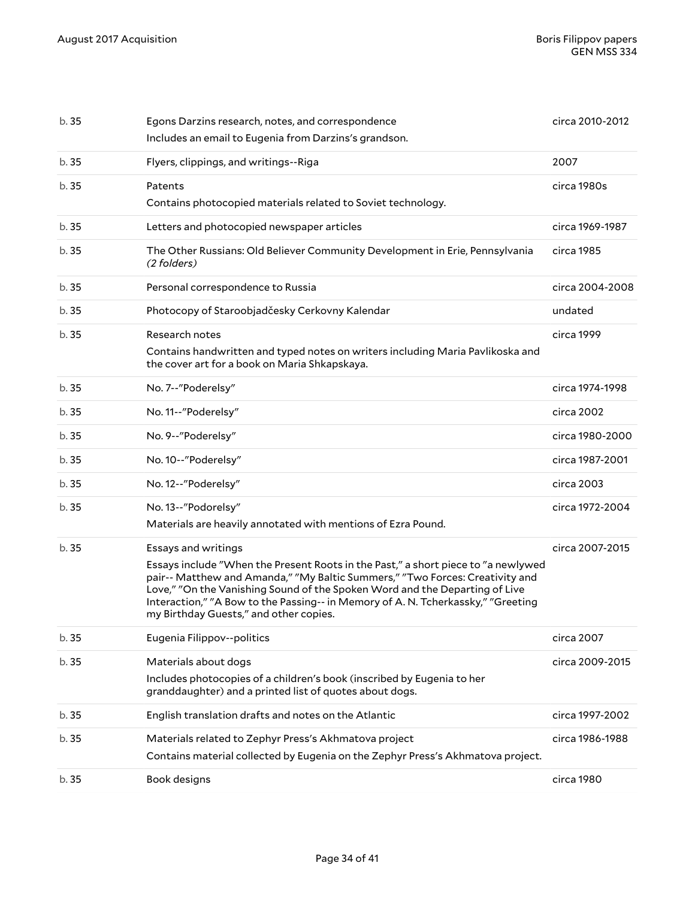| b.35  | Egons Darzins research, notes, and correspondence<br>Includes an email to Eugenia from Darzins's grandson.                                                                                                                                                                                                                                                                                            | circa 2010-2012 |
|-------|-------------------------------------------------------------------------------------------------------------------------------------------------------------------------------------------------------------------------------------------------------------------------------------------------------------------------------------------------------------------------------------------------------|-----------------|
| b.35  | Flyers, clippings, and writings--Riga                                                                                                                                                                                                                                                                                                                                                                 | 2007            |
| b.35  | Patents<br>Contains photocopied materials related to Soviet technology.                                                                                                                                                                                                                                                                                                                               | circa 1980s     |
| b.35  | Letters and photocopied newspaper articles                                                                                                                                                                                                                                                                                                                                                            | circa 1969-1987 |
| b.35  | The Other Russians: Old Believer Community Development in Erie, Pennsylvania<br>(2 folders)                                                                                                                                                                                                                                                                                                           | circa 1985      |
| b.35  | Personal correspondence to Russia                                                                                                                                                                                                                                                                                                                                                                     | circa 2004-2008 |
| b.35  | Photocopy of Staroobjadčesky Cerkovny Kalendar                                                                                                                                                                                                                                                                                                                                                        | undated         |
| b. 35 | Research notes<br>Contains handwritten and typed notes on writers including Maria Pavlikoska and<br>the cover art for a book on Maria Shkapskaya.                                                                                                                                                                                                                                                     | circa 1999      |
| b. 35 | No. 7--"Poderelsy"                                                                                                                                                                                                                                                                                                                                                                                    | circa 1974-1998 |
| b.35  | No. 11--"Poderelsy"                                                                                                                                                                                                                                                                                                                                                                                   | circa 2002      |
| b.35  | No. 9--"Poderelsy"                                                                                                                                                                                                                                                                                                                                                                                    | circa 1980-2000 |
| b.35  | No. 10--"Poderelsy"                                                                                                                                                                                                                                                                                                                                                                                   | circa 1987-2001 |
| b.35  | No. 12--"Poderelsy"                                                                                                                                                                                                                                                                                                                                                                                   | circa 2003      |
| b. 35 | No. 13--"Podorelsy"<br>Materials are heavily annotated with mentions of Ezra Pound.                                                                                                                                                                                                                                                                                                                   | circa 1972-2004 |
| b. 35 | Essays and writings<br>Essays include "When the Present Roots in the Past," a short piece to "a newlywed<br>pair-- Matthew and Amanda," "My Baltic Summers," "Two Forces: Creativity and<br>Love," "On the Vanishing Sound of the Spoken Word and the Departing of Live<br>Interaction," "A Bow to the Passing-- in Memory of A. N. Tcherkassky," "Greeting<br>my Birthday Guests," and other copies. | circa 2007-2015 |
| b.35  | Eugenia Filippov--politics                                                                                                                                                                                                                                                                                                                                                                            | circa 2007      |
| b.35  | Materials about dogs                                                                                                                                                                                                                                                                                                                                                                                  | circa 2009-2015 |
|       | Includes photocopies of a children's book (inscribed by Eugenia to her<br>granddaughter) and a printed list of quotes about dogs.                                                                                                                                                                                                                                                                     |                 |
| b.35  | English translation drafts and notes on the Atlantic                                                                                                                                                                                                                                                                                                                                                  | circa 1997-2002 |
| b.35  | Materials related to Zephyr Press's Akhmatova project<br>Contains material collected by Eugenia on the Zephyr Press's Akhmatova project.                                                                                                                                                                                                                                                              | circa 1986-1988 |
| b.35  | Book designs                                                                                                                                                                                                                                                                                                                                                                                          | circa 1980      |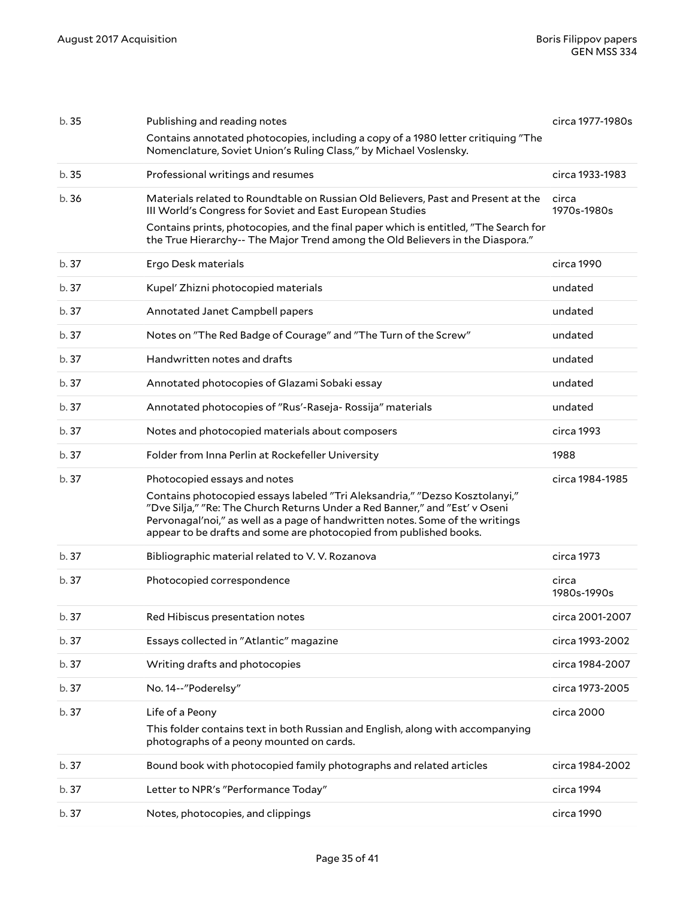| b. 35 | Publishing and reading notes                                                                                                                                                                                                                                                                                      | circa 1977-1980s     |
|-------|-------------------------------------------------------------------------------------------------------------------------------------------------------------------------------------------------------------------------------------------------------------------------------------------------------------------|----------------------|
|       | Contains annotated photocopies, including a copy of a 1980 letter critiquing "The<br>Nomenclature, Soviet Union's Ruling Class," by Michael Voslensky.                                                                                                                                                            |                      |
| b. 35 | Professional writings and resumes                                                                                                                                                                                                                                                                                 | circa 1933-1983      |
| b.36  | Materials related to Roundtable on Russian Old Believers, Past and Present at the<br>III World's Congress for Soviet and East European Studies                                                                                                                                                                    | circa<br>1970s-1980s |
|       | Contains prints, photocopies, and the final paper which is entitled, "The Search for<br>the True Hierarchy-- The Major Trend among the Old Believers in the Diaspora."                                                                                                                                            |                      |
| b. 37 | Ergo Desk materials                                                                                                                                                                                                                                                                                               | circa 1990           |
| b.37  | Kupel' Zhizni photocopied materials                                                                                                                                                                                                                                                                               | undated              |
| b. 37 | Annotated Janet Campbell papers                                                                                                                                                                                                                                                                                   | undated              |
| b.37  | Notes on "The Red Badge of Courage" and "The Turn of the Screw"                                                                                                                                                                                                                                                   | undated              |
| b.37  | Handwritten notes and drafts                                                                                                                                                                                                                                                                                      | undated              |
| b.37  | Annotated photocopies of Glazami Sobaki essay                                                                                                                                                                                                                                                                     | undated              |
| b. 37 | Annotated photocopies of "Rus'-Raseja- Rossija" materials                                                                                                                                                                                                                                                         | undated              |
| b.37  | Notes and photocopied materials about composers                                                                                                                                                                                                                                                                   | circa 1993           |
| b. 37 | Folder from Inna Perlin at Rockefeller University                                                                                                                                                                                                                                                                 | 1988                 |
|       |                                                                                                                                                                                                                                                                                                                   |                      |
| b. 37 | Photocopied essays and notes                                                                                                                                                                                                                                                                                      | circa 1984-1985      |
|       | Contains photocopied essays labeled "Tri Aleksandria," "Dezso Kosztolanyi,"<br>"Dve Silja," "Re: The Church Returns Under a Red Banner," and "Est' v Oseni<br>Pervonagal'noi," as well as a page of handwritten notes. Some of the writings<br>appear to be drafts and some are photocopied from published books. |                      |
| b. 37 | Bibliographic material related to V.V. Rozanova                                                                                                                                                                                                                                                                   | circa 1973           |
| b.37  | Photocopied correspondence                                                                                                                                                                                                                                                                                        | circa<br>1980s-1990s |
| b.37  | Red Hibiscus presentation notes                                                                                                                                                                                                                                                                                   | circa 2001-2007      |
| b.37  | Essays collected in "Atlantic" magazine                                                                                                                                                                                                                                                                           | circa 1993-2002      |
| b.37  | Writing drafts and photocopies                                                                                                                                                                                                                                                                                    | circa 1984-2007      |
| b.37  | No. 14--"Poderelsy"                                                                                                                                                                                                                                                                                               | circa 1973-2005      |
| b.37  | Life of a Peony                                                                                                                                                                                                                                                                                                   | circa 2000           |
|       | This folder contains text in both Russian and English, along with accompanying<br>photographs of a peony mounted on cards.                                                                                                                                                                                        |                      |
| b.37  | Bound book with photocopied family photographs and related articles                                                                                                                                                                                                                                               | circa 1984-2002      |
| b. 37 | Letter to NPR's "Performance Today"                                                                                                                                                                                                                                                                               | circa 1994           |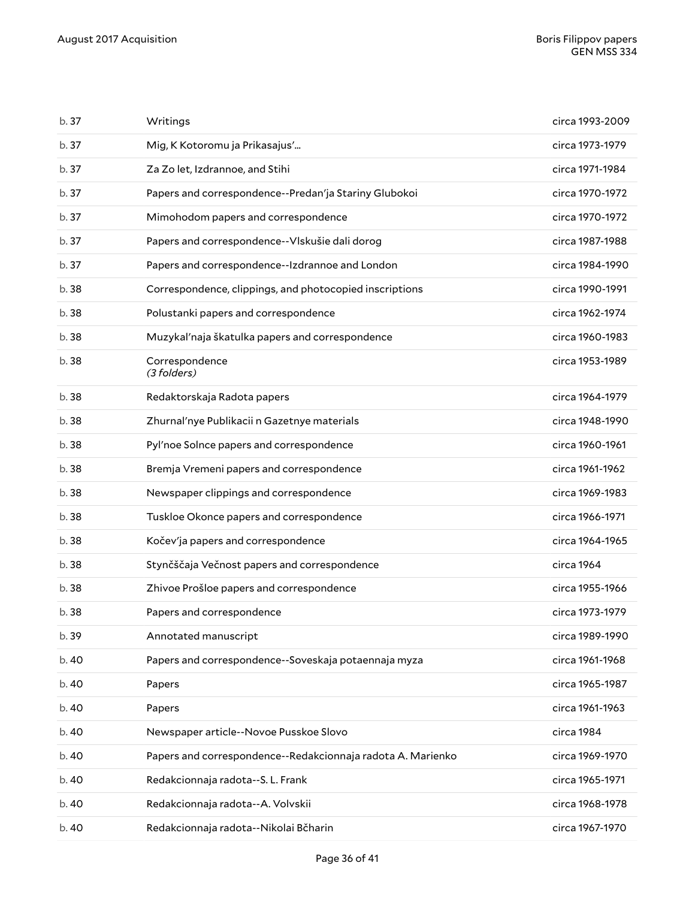| b. 37 | Writings                                                    | circa 1993-2009 |
|-------|-------------------------------------------------------------|-----------------|
| b.37  | Mig, K Kotoromu ja Prikasajus'                              | circa 1973-1979 |
| b.37  | Za Zo let, Izdrannoe, and Stihi                             | circa 1971-1984 |
| b.37  | Papers and correspondence--Predan'ja Stariny Glubokoi       | circa 1970-1972 |
| b.37  | Mimohodom papers and correspondence                         | circa 1970-1972 |
| b.37  | Papers and correspondence--Vlskušie dali dorog              | circa 1987-1988 |
| b.37  | Papers and correspondence--Izdrannoe and London             | circa 1984-1990 |
| b.38  | Correspondence, clippings, and photocopied inscriptions     | circa 1990-1991 |
| b.38  | Polustanki papers and correspondence                        | circa 1962-1974 |
| b.38  | Muzykal'naja škatulka papers and correspondence             | circa 1960-1983 |
| b. 38 | Correspondence<br>(3 folders)                               | circa 1953-1989 |
| b.38  | Redaktorskaja Radota papers                                 | circa 1964-1979 |
| b.38  | Zhurnal'nye Publikacii n Gazetnye materials                 | circa 1948-1990 |
| b.38  | Pyl'noe Solnce papers and correspondence                    | circa 1960-1961 |
| b.38  | Bremja Vremeni papers and correspondence                    | circa 1961-1962 |
| b.38  | Newspaper clippings and correspondence                      | circa 1969-1983 |
| b.38  | Tuskloe Okonce papers and correspondence                    | circa 1966-1971 |
| b. 38 | Kočev'ja papers and correspondence                          | circa 1964-1965 |
| b.38  | Stynčščaja Večnost papers and correspondence                | circa 1964      |
| b. 38 | Zhivoe Prošloe papers and correspondence                    | circa 1955-1966 |
| b. 38 | Papers and correspondence                                   | circa 1973-1979 |
| b. 39 | Annotated manuscript                                        | circa 1989-1990 |
| b.40  | Papers and correspondence--Soveskaja potaennaja myza        | circa 1961-1968 |
| b.40  | Papers                                                      | circa 1965-1987 |
| b.40  | Papers                                                      | circa 1961-1963 |
| b.40  | Newspaper article--Novoe Pusskoe Slovo                      | circa 1984      |
| b. 40 | Papers and correspondence--Redakcionnaja radota A. Marienko | circa 1969-1970 |
| b.40  | Redakcionnaja radota--S. L. Frank                           | circa 1965-1971 |
| b.40  | Redakcionnaja radota--A. Volvskii                           | circa 1968-1978 |
| b.40  | Redakcionnaja radota--Nikolai Bčharin                       | circa 1967-1970 |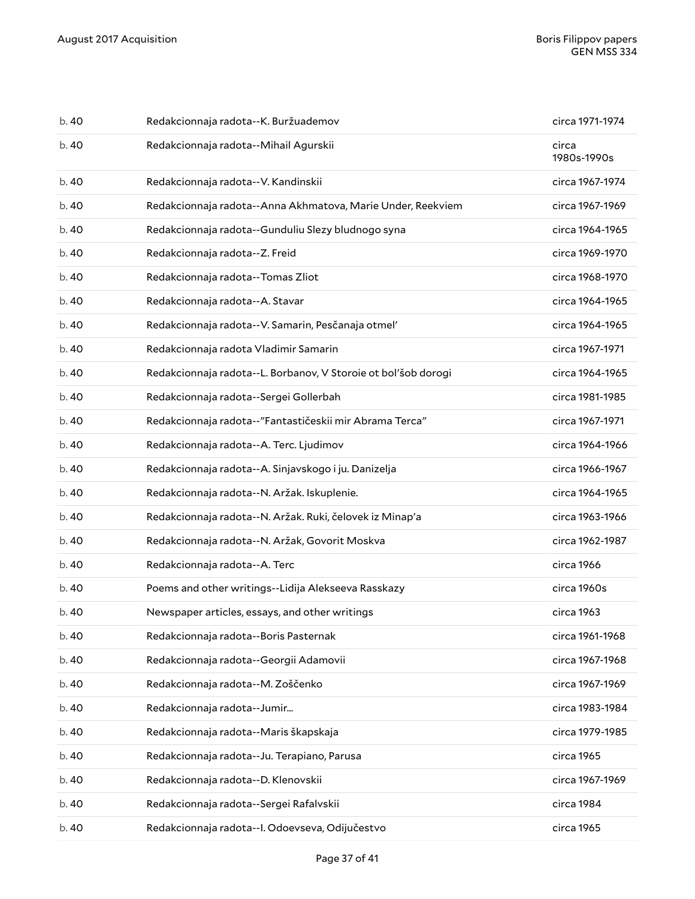| b.40  | Redakcionnaja radota--K. Buržuademov                           | circa 1971-1974      |
|-------|----------------------------------------------------------------|----------------------|
| b.40  | Redakcionnaja radota--Mihail Agurskii                          | circa<br>1980s-1990s |
| b. 40 | Redakcionnaja radota--V. Kandinskii                            | circa 1967-1974      |
| b.40  | Redakcionnaja radota--Anna Akhmatova, Marie Under, Reekviem    | circa 1967-1969      |
| b. 40 | Redakcionnaja radota--Gunduliu Slezy bludnogo syna             | circa 1964-1965      |
| b.40  | Redakcionnaja radota--Z. Freid                                 | circa 1969-1970      |
| b.40  | Redakcionnaja radota--Tomas Zliot                              | circa 1968-1970      |
| b.40  | Redakcionnaja radota--A. Stavar                                | circa 1964-1965      |
| b. 40 | Redakcionnaja radota--V. Samarin, Pesčanaja otmel'             | circa 1964-1965      |
| b.40  | Redakcionnaja radota Vladimir Samarin                          | circa 1967-1971      |
| b.40  | Redakcionnaja radota--L. Borbanov, V Storoie ot bol'šob dorogi | circa 1964-1965      |
| b.40  | Redakcionnaja radota--Sergei Gollerbah                         | circa 1981-1985      |
| b. 40 | Redakcionnaja radota--"Fantastičeskii mir Abrama Terca"        | circa 1967-1971      |
| b.40  | Redakcionnaja radota--A. Terc. Ljudimov                        | circa 1964-1966      |
| b.40  | Redakcionnaja radota--A. Sinjavskogo i ju. Danizelja           | circa 1966-1967      |
| b.40  | Redakcionnaja radota--N. Aržak. Iskuplenie.                    | circa 1964-1965      |
| b. 40 | Redakcionnaja radota--N. Aržak. Ruki, čelovek iz Minap'a       | circa 1963-1966      |
| b.40  | Redakcionnaja radota--N. Aržak, Govorit Moskva                 | circa 1962-1987      |
| b.40  | Redakcionnaja radota--A. Terc                                  | circa 1966           |
| b.40  | Poems and other writings--Lidija Alekseeva Rasskazy            | circa 1960s          |
| b.40  | Newspaper articles, essays, and other writings                 | circa 1963           |
| b.40  | Redakcionnaja radota--Boris Pasternak                          | circa 1961-1968      |
| b. 40 | Redakcionnaja radota--Georgii Adamovii                         | circa 1967-1968      |
| b. 40 | Redakcionnaja radota--M. Zoščenko                              | circa 1967-1969      |
| b. 40 | Redakcionnaja radota--Jumir                                    | circa 1983-1984      |
| b.40  | Redakcionnaja radota--Maris škapskaja                          | circa 1979-1985      |
| b. 40 | Redakcionnaja radota--Ju. Terapiano, Parusa                    | circa 1965           |
| b. 40 | Redakcionnaja radota--D. Klenovskii                            | circa 1967-1969      |
| b. 40 | Redakcionnaja radota--Sergei Rafalvskii                        | circa 1984           |
| b. 40 | Redakcionnaja radota--I. Odoevseva, Odijučestvo                | circa 1965           |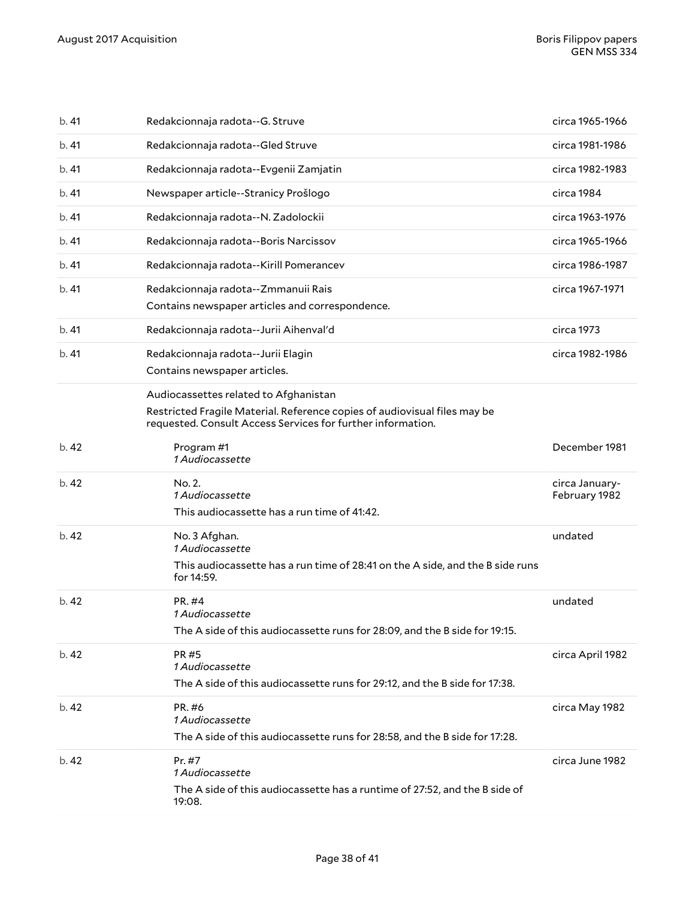| b.41  | Redakcionnaja radota--G. Struve                                                                                                                                                   | circa 1965-1966                 |
|-------|-----------------------------------------------------------------------------------------------------------------------------------------------------------------------------------|---------------------------------|
| b.41  | Redakcionnaja radota--Gled Struve                                                                                                                                                 | circa 1981-1986                 |
| b.41  | Redakcionnaja radota--Evgenii Zamjatin                                                                                                                                            | circa 1982-1983                 |
| b.41  | Newspaper article--Stranicy Prošlogo                                                                                                                                              | circa 1984                      |
| b.41  | Redakcionnaja radota--N. Zadolockii                                                                                                                                               | circa 1963-1976                 |
| b.41  | Redakcionnaja radota--Boris Narcissov                                                                                                                                             | circa 1965-1966                 |
| b.41  | Redakcionnaja radota--Kirill Pomerancev                                                                                                                                           | circa 1986-1987                 |
| b.41  | Redakcionnaja radota--Zmmanuii Rais<br>Contains newspaper articles and correspondence.                                                                                            | circa 1967-1971                 |
| b.41  | Redakcionnaja radota--Jurii Aihenval'd                                                                                                                                            | circa 1973                      |
| b.41  | Redakcionnaja radota--Jurii Elagin<br>Contains newspaper articles.                                                                                                                | circa 1982-1986                 |
|       | Audiocassettes related to Afghanistan<br>Restricted Fragile Material. Reference copies of audiovisual files may be<br>requested. Consult Access Services for further information. |                                 |
| b.42  | Program #1<br>1 Audiocassette                                                                                                                                                     | December 1981                   |
| b.42  | No. 2.<br>1 Audiocassette<br>This audiocassette has a run time of 41:42.                                                                                                          | circa January-<br>February 1982 |
|       |                                                                                                                                                                                   |                                 |
| b.42  | No. 3 Afghan.<br>1 Audiocassette<br>This audiocassette has a run time of 28:41 on the A side, and the B side runs<br>for 14:59.                                                   | undated                         |
| b.42  | PR. #4<br>1 Audiocassette<br>The A side of this audiocassette runs for 28:09, and the B side for 19:15.                                                                           | undated                         |
| b.42  | PR #5<br>1 Audiocassette<br>The A side of this audiocassette runs for 29:12, and the B side for 17:38.                                                                            | circa April 1982                |
| b. 42 | PR. #6<br>1 Audiocassette<br>The A side of this audiocassette runs for 28:58, and the B side for 17:28.                                                                           | circa May 1982                  |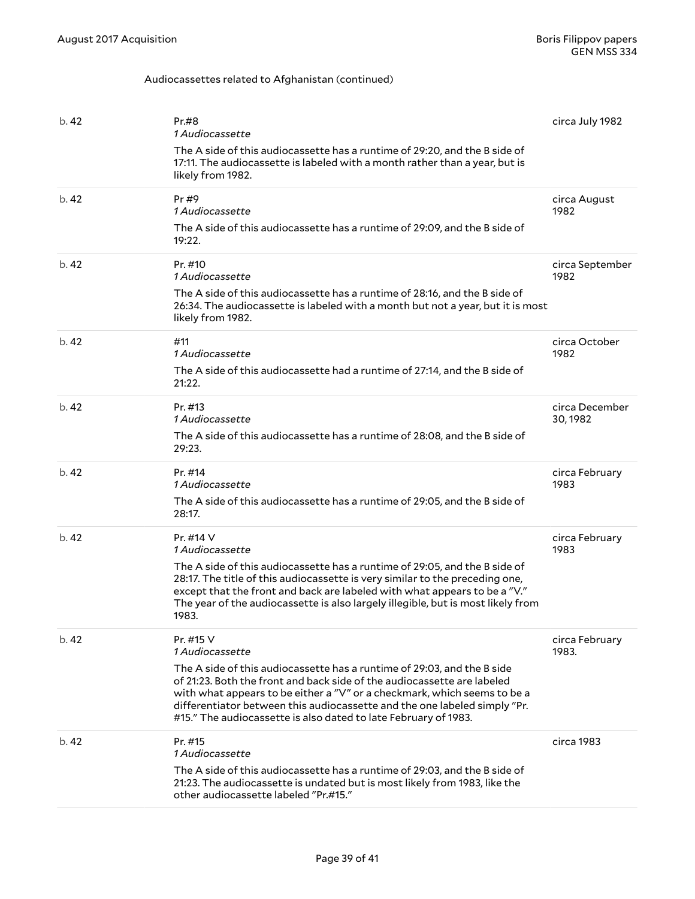### Audiocassettes related to Afghanistan (continued)

| b.42  | Pr.#8<br>1 Audiocassette<br>The A side of this audiocassette has a runtime of 29:20, and the B side of<br>17:11. The audiocassette is labeled with a month rather than a year, but is<br>likely from 1982.                                                                                                                                                                                                     | circa July 1982            |
|-------|----------------------------------------------------------------------------------------------------------------------------------------------------------------------------------------------------------------------------------------------------------------------------------------------------------------------------------------------------------------------------------------------------------------|----------------------------|
| b.42  | Pr#9<br>1 Audiocassette<br>The A side of this audiocassette has a runtime of 29:09, and the B side of<br>19:22.                                                                                                                                                                                                                                                                                                | circa August<br>1982       |
| b.42  | Pr. #10<br>1 Audiocassette<br>The A side of this audiocassette has a runtime of 28:16, and the B side of<br>26:34. The audiocassette is labeled with a month but not a year, but it is most<br>likely from 1982.                                                                                                                                                                                               | circa September<br>1982    |
| b.42  | #11<br>1 Audiocassette<br>The A side of this audiocassette had a runtime of 27:14, and the B side of<br>21:22.                                                                                                                                                                                                                                                                                                 | circa October<br>1982      |
| b.42  | Pr. #13<br>1 Audiocassette<br>The A side of this audiocassette has a runtime of 28:08, and the B side of<br>29:23.                                                                                                                                                                                                                                                                                             | circa December<br>30, 1982 |
| b.42  | Pr. #14<br>1 Audiocassette<br>The A side of this audiocassette has a runtime of 29:05, and the B side of<br>28:17.                                                                                                                                                                                                                                                                                             | circa February<br>1983     |
| b.42  | Pr. $\#$ 14 V<br>1 Audiocassette<br>The A side of this audiocassette has a runtime of 29:05, and the B side of<br>28:17. The title of this audiocassette is very similar to the preceding one,<br>except that the front and back are labeled with what appears to be a "V."<br>The year of the audiocassette is also largely illegible, but is most likely from<br>1983.                                       | circa February<br>1983     |
| b.42  | Pr. #15 V<br>1 Audiocassette<br>The A side of this audiocassette has a runtime of 29:03, and the B side<br>of 21:23. Both the front and back side of the audiocassette are labeled<br>with what appears to be either a "V" or a checkmark, which seems to be a<br>differentiator between this audiocassette and the one labeled simply "Pr.<br>#15." The audiocassette is also dated to late February of 1983. | circa February<br>1983.    |
| b. 42 | Pr. #15<br>1 Audiocassette<br>The A side of this audiocassette has a runtime of 29:03, and the B side of<br>21:23. The audiocassette is undated but is most likely from 1983, like the<br>other audiocassette labeled "Pr.#15."                                                                                                                                                                                | circa 1983                 |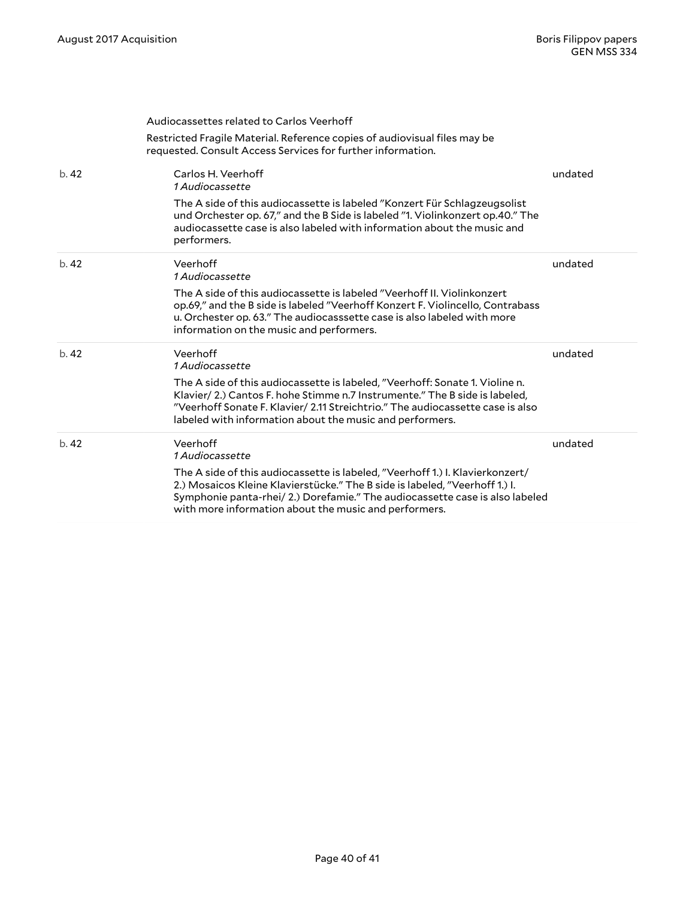|      | Audiocassettes related to Carlos Veerhoff                                                                                                                                                                                                                                                                |         |
|------|----------------------------------------------------------------------------------------------------------------------------------------------------------------------------------------------------------------------------------------------------------------------------------------------------------|---------|
|      | Restricted Fragile Material. Reference copies of audiovisual files may be<br>requested. Consult Access Services for further information.                                                                                                                                                                 |         |
| b.42 | Carlos H. Veerhoff<br><i>1 Audiocassette</i>                                                                                                                                                                                                                                                             | undated |
|      | The A side of this audiocassette is labeled "Konzert Für Schlagzeugsolist<br>und Orchester op. 67," and the B Side is labeled "1. Violinkonzert op.40." The<br>audiocassette case is also labeled with information about the music and<br>performers.                                                    |         |
| b.42 | Veerhoff<br>1 Audiocassette                                                                                                                                                                                                                                                                              | undated |
|      | The A side of this audiocassette is labeled "Veerhoff II. Violinkonzert<br>op.69," and the B side is labeled "Veerhoff Konzert F. Violincello, Contrabass<br>u. Orchester op. 63." The audiocasssette case is also labeled with more<br>information on the music and performers.                         |         |
| b.42 | Veerhoff<br><i>1 Audiocassette</i>                                                                                                                                                                                                                                                                       | undated |
|      | The A side of this audiocassette is labeled, "Veerhoff: Sonate 1. Violine n.<br>Klavier/2.) Cantos F. hohe Stimme n.7 Instrumente." The B side is labeled,<br>"Veerhoff Sonate F. Klavier/ 2.11 Streichtrio." The audiocassette case is also<br>labeled with information about the music and performers. |         |
| b.42 | Veerhoff<br><i>1 Audiocassette</i>                                                                                                                                                                                                                                                                       | undated |
|      | The A side of this audiocassette is labeled, "Veerhoff 1.) I. Klavierkonzert/<br>2.) Mosaicos Kleine Klavierstücke." The B side is labeled, "Veerhoff 1.) I.<br>Symphonie panta-rhei/ 2.) Dorefamie." The audiocassette case is also labeled<br>with more information about the music and performers.    |         |